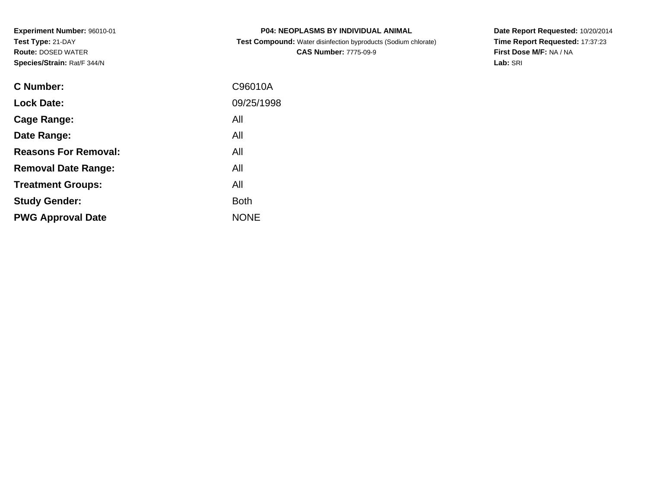**Experiment Number:** 96010-01**Test Type:** 21-DAY **Route:** DOSED WATER**Species/Strain:** Rat/F 344/N

| <b>P04: NEOPLASMS BY INDIVIDUAL ANIMAL</b>                                                                                                                                                                                        |  |
|-----------------------------------------------------------------------------------------------------------------------------------------------------------------------------------------------------------------------------------|--|
| $\bigcap$ and a set of the state of the state of the state of the state of the state of the state of the state of the state of the state of the state of the state of the state of the state of the state of the state of the sta |  |

 **Test Compound:** Water disinfection byproducts (Sodium chlorate)**CAS Number:** 7775-09-9

**Date Report Requested:** 10/20/2014 **Time Report Requested:** 17:37:23**First Dose M/F:** NA / NA**Lab:** SRI

| <b>C</b> Number:            | C96010A     |
|-----------------------------|-------------|
| <b>Lock Date:</b>           | 09/25/1998  |
| Cage Range:                 | All         |
| Date Range:                 | All         |
| <b>Reasons For Removal:</b> | All         |
| <b>Removal Date Range:</b>  | All         |
| <b>Treatment Groups:</b>    | All         |
| <b>Study Gender:</b>        | <b>Both</b> |
| <b>PWG Approval Date</b>    | <b>NONE</b> |
|                             |             |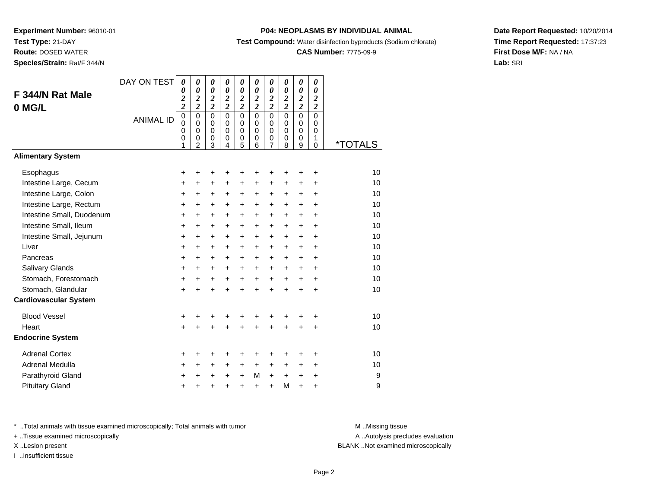**Route:** DOSED WATER

**Species/Strain:** Rat/F 344/N

### **P04: NEOPLASMS BY INDIVIDUAL ANIMAL**

**Test Compound:** Water disinfection byproducts (Sodium chlorate)

### **CAS Number:** 7775-09-9

**Date Report Requested:** 10/20/2014**Time Report Requested:** 17:37:23**First Dose M/F:** NA / NA**Lab:** SRI

| F 344/N Rat Male<br>0 MG/L   | DAY ON TEST<br><b>ANIMAL ID</b> | 0<br>$\boldsymbol{\theta}$<br>$\boldsymbol{2}$<br>$\overline{\mathbf{c}}$<br>$\mathbf 0$<br>$\mathbf 0$<br>$\mathbf 0$<br>0<br>1 | 0<br>$\boldsymbol{\theta}$<br>$\frac{2}{2}$<br>$\mathbf 0$<br>$\pmb{0}$<br>$\mathbf 0$<br>0<br>$\mathfrak{p}$ | 0<br>$\boldsymbol{\theta}$<br>$\boldsymbol{2}$<br>$\overline{\mathbf{c}}$<br>$\mathbf 0$<br>0<br>$\mathbf 0$<br>0<br>3 | 0<br>$\boldsymbol{\theta}$<br>$\boldsymbol{2}$<br>$\overline{2}$<br>$\Omega$<br>$\mathbf 0$<br>$\mathbf 0$<br>0<br>4 | 0<br>$\boldsymbol{\theta}$<br>$\boldsymbol{2}$<br>$\overline{2}$<br>$\mathbf 0$<br>$\mathbf 0$<br>$\mathbf 0$<br>0<br>5 | 0<br>$\boldsymbol{\theta}$<br>$\boldsymbol{2}$<br>$\overline{c}$<br>$\Omega$<br>$\mathbf 0$<br>$\mathbf 0$<br>0<br>6 | 0<br>$\boldsymbol{\theta}$<br>$\frac{2}{2}$<br>$\mathsf 0$<br>$\pmb{0}$<br>$\mathbf 0$<br>0<br>$\overline{7}$ | 0<br>$\boldsymbol{\theta}$<br>$\boldsymbol{2}$<br>$\overline{2}$<br>$\mathbf 0$<br>$\mathbf 0$<br>$\mathbf 0$<br>0<br>8 | 0<br>$\boldsymbol{\theta}$<br>$\boldsymbol{2}$<br>$\overline{2}$<br>$\mathbf 0$<br>0<br>0<br>0<br>9 | 0<br>$\boldsymbol{\theta}$<br>$\boldsymbol{2}$<br>$\overline{2}$<br>$\mathbf 0$<br>$\mathbf 0$<br>0<br>1<br>$\Omega$ | <i><b>*TOTALS</b></i> |
|------------------------------|---------------------------------|----------------------------------------------------------------------------------------------------------------------------------|---------------------------------------------------------------------------------------------------------------|------------------------------------------------------------------------------------------------------------------------|----------------------------------------------------------------------------------------------------------------------|-------------------------------------------------------------------------------------------------------------------------|----------------------------------------------------------------------------------------------------------------------|---------------------------------------------------------------------------------------------------------------|-------------------------------------------------------------------------------------------------------------------------|-----------------------------------------------------------------------------------------------------|----------------------------------------------------------------------------------------------------------------------|-----------------------|
| <b>Alimentary System</b>     |                                 |                                                                                                                                  |                                                                                                               |                                                                                                                        |                                                                                                                      |                                                                                                                         |                                                                                                                      |                                                                                                               |                                                                                                                         |                                                                                                     |                                                                                                                      |                       |
| Esophagus                    |                                 | +                                                                                                                                | +                                                                                                             | +                                                                                                                      | +                                                                                                                    | +                                                                                                                       | +                                                                                                                    | +                                                                                                             | +                                                                                                                       | ٠                                                                                                   | +                                                                                                                    | 10                    |
| Intestine Large, Cecum       |                                 | $\ddot{}$                                                                                                                        | $\ddot{}$                                                                                                     | +                                                                                                                      | $\ddot{}$                                                                                                            | +                                                                                                                       | +                                                                                                                    | +                                                                                                             | +                                                                                                                       | $\ddot{}$                                                                                           | $\ddot{}$                                                                                                            | 10                    |
| Intestine Large, Colon       |                                 | +                                                                                                                                | +                                                                                                             | +                                                                                                                      | +                                                                                                                    | +                                                                                                                       | +                                                                                                                    | +                                                                                                             | +                                                                                                                       | +                                                                                                   | +                                                                                                                    | 10                    |
| Intestine Large, Rectum      |                                 | $\ddot{}$                                                                                                                        | $\ddot{}$                                                                                                     | +                                                                                                                      | $\ddot{}$                                                                                                            | $\ddot{}$                                                                                                               | $\ddot{}$                                                                                                            | +                                                                                                             | $+$                                                                                                                     | $\ddot{}$                                                                                           | $\ddot{}$                                                                                                            | 10                    |
| Intestine Small, Duodenum    |                                 | $\ddot{}$                                                                                                                        | $\ddot{}$                                                                                                     | +                                                                                                                      | $\ddot{}$                                                                                                            | $\ddot{}$                                                                                                               | $+$                                                                                                                  | $\ddot{}$                                                                                                     | $\ddot{}$                                                                                                               | $\ddot{}$                                                                                           | $\ddot{}$                                                                                                            | 10                    |
| Intestine Small, Ileum       |                                 | $\ddot{}$                                                                                                                        | $\ddot{}$                                                                                                     | +                                                                                                                      | $\ddot{}$                                                                                                            | $\ddot{}$                                                                                                               | $\ddot{}$                                                                                                            | $\ddot{}$                                                                                                     | $\ddot{}$                                                                                                               | $\ddot{}$                                                                                           | $\ddot{}$                                                                                                            | 10                    |
| Intestine Small, Jejunum     |                                 | +                                                                                                                                | $\ddot{}$                                                                                                     | +                                                                                                                      | $\ddot{}$                                                                                                            | $\ddot{}$                                                                                                               | $\ddot{}$                                                                                                            | $\ddot{}$                                                                                                     | $\ddot{}$                                                                                                               | +                                                                                                   | $\ddot{}$                                                                                                            | 10                    |
| Liver                        |                                 | $\ddot{}$                                                                                                                        | $\ddot{}$                                                                                                     | $\ddot{}$                                                                                                              | $\ddot{}$                                                                                                            | $\ddot{}$                                                                                                               | $\ddot{}$                                                                                                            | $\ddot{}$                                                                                                     | $+$                                                                                                                     | $\ddot{}$                                                                                           | $\ddot{}$                                                                                                            | 10                    |
| Pancreas                     |                                 | $\ddot{}$                                                                                                                        | $\ddot{}$                                                                                                     | $\ddot{}$                                                                                                              | $\ddot{}$                                                                                                            | $\ddot{}$                                                                                                               | $\ddot{}$                                                                                                            | $+$                                                                                                           | $+$                                                                                                                     | $\ddot{}$                                                                                           | $\ddot{}$                                                                                                            | 10                    |
| Salivary Glands              |                                 | +                                                                                                                                | +                                                                                                             | +                                                                                                                      | +                                                                                                                    | +                                                                                                                       | +                                                                                                                    | +                                                                                                             | $\ddot{}$                                                                                                               | +                                                                                                   | +                                                                                                                    | 10                    |
| Stomach, Forestomach         |                                 | +                                                                                                                                | $\ddot{}$                                                                                                     | $\ddot{}$                                                                                                              | $\ddot{}$                                                                                                            | $\ddot{}$                                                                                                               | $\ddot{}$                                                                                                            | $\ddot{}$                                                                                                     | $\ddot{}$                                                                                                               | $\ddot{}$                                                                                           | $\ddot{}$                                                                                                            | 10                    |
| Stomach, Glandular           |                                 | $\ddot{}$                                                                                                                        | $\ddot{}$                                                                                                     | $\ddot{}$                                                                                                              | $\ddot{}$                                                                                                            | $\ddot{}$                                                                                                               | $\ddot{}$                                                                                                            | $+$                                                                                                           | $+$                                                                                                                     | $\ddot{}$                                                                                           | $\ddot{}$                                                                                                            | 10                    |
| <b>Cardiovascular System</b> |                                 |                                                                                                                                  |                                                                                                               |                                                                                                                        |                                                                                                                      |                                                                                                                         |                                                                                                                      |                                                                                                               |                                                                                                                         |                                                                                                     |                                                                                                                      |                       |
| <b>Blood Vessel</b>          |                                 | $\ddot{}$                                                                                                                        |                                                                                                               | ٠                                                                                                                      | +                                                                                                                    | +                                                                                                                       |                                                                                                                      |                                                                                                               |                                                                                                                         | +                                                                                                   | +                                                                                                                    | 10                    |
| Heart                        |                                 | $\ddot{}$                                                                                                                        |                                                                                                               | $\ddot{}$                                                                                                              | $\ddot{}$                                                                                                            | $\ddot{}$                                                                                                               | $\ddot{}$                                                                                                            | $\ddot{}$                                                                                                     | $\ddot{}$                                                                                                               | $\ddot{}$                                                                                           | $\ddot{}$                                                                                                            | 10                    |
| <b>Endocrine System</b>      |                                 |                                                                                                                                  |                                                                                                               |                                                                                                                        |                                                                                                                      |                                                                                                                         |                                                                                                                      |                                                                                                               |                                                                                                                         |                                                                                                     |                                                                                                                      |                       |
| <b>Adrenal Cortex</b>        |                                 | +                                                                                                                                | +                                                                                                             | +                                                                                                                      | +                                                                                                                    | +                                                                                                                       | +                                                                                                                    | +                                                                                                             | ٠                                                                                                                       | +                                                                                                   | ٠                                                                                                                    | 10                    |
| Adrenal Medulla              |                                 | +                                                                                                                                | +                                                                                                             | +                                                                                                                      | +                                                                                                                    | +                                                                                                                       | +                                                                                                                    | +                                                                                                             | $\ddot{}$                                                                                                               | +                                                                                                   | $\ddot{}$                                                                                                            | 10                    |
| Parathyroid Gland            |                                 | +                                                                                                                                | +                                                                                                             | +                                                                                                                      | +                                                                                                                    | +                                                                                                                       | M                                                                                                                    | $\ddot{}$                                                                                                     | $\ddot{}$                                                                                                               | +                                                                                                   | +                                                                                                                    | 9                     |
| <b>Pituitary Gland</b>       |                                 |                                                                                                                                  |                                                                                                               |                                                                                                                        |                                                                                                                      | $\ddot{}$                                                                                                               | $\ddot{}$                                                                                                            | $\ddot{}$                                                                                                     | М                                                                                                                       | $\ddot{}$                                                                                           | +                                                                                                                    | 9                     |

\* ..Total animals with tissue examined microscopically; Total animals with tumor **M** . Missing tissue M ..Missing tissue

+ ..Tissue examined microscopically

I ..Insufficient tissue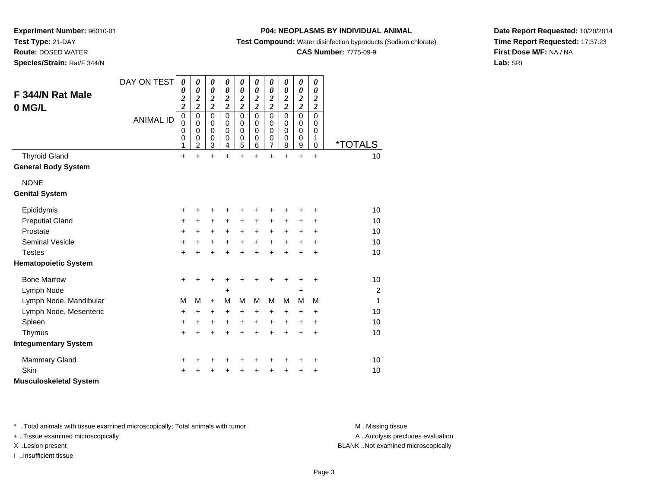**Test Type:** 21-DAY**Route:** DOSED WATER

**Species/Strain:** Rat/F 344/N

### **P04: NEOPLASMS BY INDIVIDUAL ANIMAL**

**Test Compound:** Water disinfection byproducts (Sodium chlorate)

### **CAS Number:** 7775-09-9

**Date Report Requested:** 10/20/2014**Time Report Requested:** 17:37:23**First Dose M/F:** NA / NA**Lab:** SRI

| F 344/N Rat Male<br>0 MG/L                         | DAY ON TEST<br><b>ANIMAL ID</b> | 0<br>0<br>$\overline{\mathbf{c}}$<br>$\overline{\mathbf{c}}$<br>$\mathbf 0$<br>$\mathbf 0$ | 0<br>0<br>$\frac{2}{2}$<br>$\mathbf 0$<br>0 | 0<br>$\boldsymbol{\theta}$<br>$\frac{2}{2}$<br>$\mathbf 0$<br>$\Omega$ | 0<br>0<br>$\frac{2}{2}$<br>$\mathbf 0$<br>$\Omega$ | 0<br>$\boldsymbol{\theta}$<br>$\frac{2}{2}$<br>$\mathbf 0$<br>$\Omega$ | 0<br>0<br>$\frac{2}{2}$<br>$\mathbf 0$<br>$\Omega$ | 0<br>$\boldsymbol{\theta}$<br>$\frac{2}{2}$<br>$\mathbf 0$<br>$\Omega$ | 0<br>0<br>$\frac{2}{2}$<br>$\mathbf 0$<br>0 | 0<br>$\boldsymbol{\theta}$<br>$\frac{2}{2}$<br>$\mathbf 0$<br>0 | 0<br>$\boldsymbol{\theta}$<br>$\overline{\mathbf{c}}$<br>$\overline{2}$<br>$\mathbf 0$<br>$\Omega$ |                       |
|----------------------------------------------------|---------------------------------|--------------------------------------------------------------------------------------------|---------------------------------------------|------------------------------------------------------------------------|----------------------------------------------------|------------------------------------------------------------------------|----------------------------------------------------|------------------------------------------------------------------------|---------------------------------------------|-----------------------------------------------------------------|----------------------------------------------------------------------------------------------------|-----------------------|
|                                                    |                                 | $\mathbf 0$<br>0<br>1                                                                      | $\mathbf 0$<br>0<br>$\overline{c}$          | $\Omega$<br>$\mathbf 0$<br>3                                           | $\mathbf 0$<br>$\mathbf 0$<br>4                    | $\Omega$<br>$\mathbf 0$<br>5                                           | $\mathbf 0$<br>$\mathbf 0$<br>6                    | $\Omega$<br>$\mathbf 0$<br>$\overline{7}$                              | $\mathbf 0$<br>$\mathbf 0$<br>8             | $\mathbf 0$<br>$\mathbf 0$<br>9                                 | $\mathbf 0$<br>1<br>$\mathbf 0$                                                                    | <i><b>*TOTALS</b></i> |
| <b>Thyroid Gland</b><br><b>General Body System</b> |                                 | $\ddot{}$                                                                                  | ÷                                           | $\ddot{}$                                                              | $\ddot{}$                                          | $\ddot{}$                                                              | $\ddot{}$                                          | $\ddot{}$                                                              | $\ddot{}$                                   | $\ddot{}$                                                       | $\ddot{}$                                                                                          | 10                    |
| <b>NONE</b><br><b>Genital System</b>               |                                 |                                                                                            |                                             |                                                                        |                                                    |                                                                        |                                                    |                                                                        |                                             |                                                                 |                                                                                                    |                       |
| Epididymis                                         |                                 | +                                                                                          | +                                           | +                                                                      | +                                                  | +                                                                      | +                                                  | +                                                                      | +                                           | +                                                               | +                                                                                                  | 10                    |
| <b>Preputial Gland</b>                             |                                 | ٠                                                                                          | $\pm$                                       | $\ddot{}$                                                              | $\pm$                                              | +                                                                      | +                                                  | $\ddot{}$                                                              | +                                           | $\ddot{}$                                                       | $\ddot{}$                                                                                          | 10                    |
| Prostate                                           |                                 | +                                                                                          | +                                           | +                                                                      | +                                                  | +                                                                      | +                                                  | +                                                                      | +                                           | +                                                               | +                                                                                                  | 10                    |
| <b>Seminal Vesicle</b>                             |                                 | ٠                                                                                          | $\ddot{}$                                   | +                                                                      | $\ddot{}$                                          | $\ddot{}$                                                              | $\ddot{}$                                          | $\ddot{}$                                                              | $\ddot{}$                                   | $\ddot{}$                                                       | $\ddot{}$                                                                                          | 10                    |
| <b>Testes</b>                                      |                                 | +                                                                                          | $\ddot{}$                                   | +                                                                      | $\ddot{}$                                          | $\ddot{}$                                                              | $\ddot{}$                                          | $\ddot{}$                                                              | $\ddot{}$                                   | $\ddot{}$                                                       | $\ddot{}$                                                                                          | 10                    |
| <b>Hematopoietic System</b>                        |                                 |                                                                                            |                                             |                                                                        |                                                    |                                                                        |                                                    |                                                                        |                                             |                                                                 |                                                                                                    |                       |
| <b>Bone Marrow</b>                                 |                                 | ٠                                                                                          | ٠                                           | ٠                                                                      | +                                                  | +                                                                      | +                                                  | +                                                                      | +                                           | +                                                               | +                                                                                                  | 10                    |
| Lymph Node                                         |                                 |                                                                                            |                                             |                                                                        | +                                                  |                                                                        |                                                    |                                                                        |                                             | +                                                               |                                                                                                    | $\overline{c}$        |
| Lymph Node, Mandibular                             |                                 | M                                                                                          | M                                           | $\ddot{}$                                                              | M                                                  | M                                                                      | M                                                  | M                                                                      | М                                           | M                                                               | M                                                                                                  | 1                     |
| Lymph Node, Mesenteric                             |                                 | +                                                                                          | +                                           | +                                                                      | +                                                  | $\ddot{}$                                                              | +                                                  | +                                                                      | +                                           | $\ddot{}$                                                       | $\ddot{}$                                                                                          | 10                    |
| Spleen                                             |                                 | +                                                                                          | +                                           | +                                                                      | +                                                  | +                                                                      | +                                                  | $\ddot{}$                                                              | $\pm$                                       | $\ddot{}$                                                       | $\ddot{}$                                                                                          | 10                    |
| Thymus                                             |                                 | +                                                                                          | $\ddot{}$                                   | +                                                                      | $\ddot{}$                                          | $\ddot{}$                                                              | $\ddot{}$                                          | $\ddot{}$                                                              | $\ddot{}$                                   | $\ddot{}$                                                       | $\ddot{}$                                                                                          | 10                    |
| <b>Integumentary System</b>                        |                                 |                                                                                            |                                             |                                                                        |                                                    |                                                                        |                                                    |                                                                        |                                             |                                                                 |                                                                                                    |                       |
| <b>Mammary Gland</b>                               |                                 | +                                                                                          |                                             | +                                                                      | +                                                  | +                                                                      | +                                                  | +                                                                      | +                                           | +                                                               | +                                                                                                  | 10                    |
| Skin                                               |                                 |                                                                                            |                                             |                                                                        | +                                                  | +                                                                      | +                                                  | +                                                                      | +                                           | +                                                               | +                                                                                                  | 10                    |
| <b>Musculoskeletal System</b>                      |                                 |                                                                                            |                                             |                                                                        |                                                    |                                                                        |                                                    |                                                                        |                                             |                                                                 |                                                                                                    |                       |

\* ..Total animals with tissue examined microscopically; Total animals with tumor **M** . Missing tissue M ..Missing tissue

+ ..Tissue examined microscopically

I ..Insufficient tissue

A ..Autolysis precludes evaluation

X ..Lesion present BLANK ..Not examined microscopically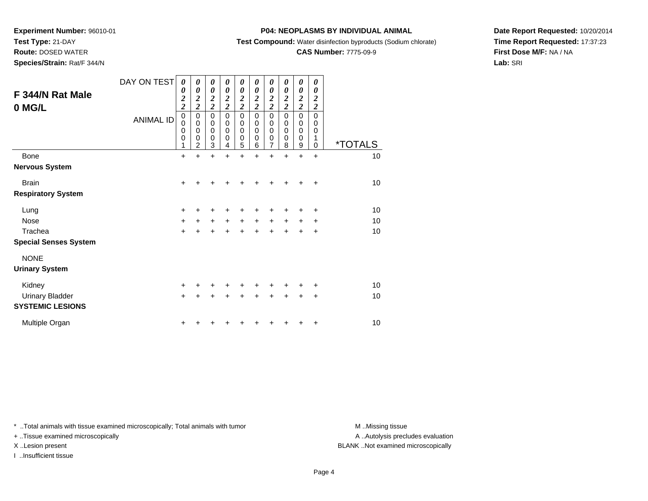**Test Type:** 21-DAY

**Route:** DOSED WATER

**Species/Strain:** Rat/F 344/N

### **P04: NEOPLASMS BY INDIVIDUAL ANIMAL**

**Test Compound:** Water disinfection byproducts (Sodium chlorate)

### **CAS Number:** 7775-09-9

**Date Report Requested:** 10/20/2014**Time Report Requested:** 17:37:23**First Dose M/F:** NA / NA**Lab:** SRI

| F 344/N Rat Male<br>0 MG/L   | DAY ON TEST<br><b>ANIMAL ID</b> | 0<br>0<br>$\overline{\mathbf{c}}$<br>$\overline{\mathbf{c}}$<br>$\mathbf 0$<br>0<br>0<br>$\mathbf 0$<br>1 | 0<br>0<br>$\boldsymbol{2}$<br>$\overline{2}$<br>$\mathbf 0$<br>$\mathbf 0$<br>$\mathbf 0$<br>$\mathbf 0$<br>$\overline{2}$ | 0<br>$\boldsymbol{\theta}$<br>$\boldsymbol{2}$<br>$\overline{2}$<br>$\mathbf 0$<br>$\pmb{0}$<br>$\mathbf 0$<br>$\pmb{0}$<br>3 | 0<br>$\boldsymbol{\theta}$<br>$\boldsymbol{2}$<br>$\overline{c}$<br>$\Omega$<br>0<br>$\mathbf 0$<br>0<br>4 | 0<br>$\boldsymbol{\theta}$<br>$\boldsymbol{2}$<br>$\overline{2}$<br>$\mathbf 0$<br>0<br>$\pmb{0}$<br>$\mathbf 0$<br>5 | 0<br>0<br>$\boldsymbol{2}$<br>$\overline{2}$<br>$\Omega$<br>0<br>0<br>$\mathbf 0$<br>6 | 0<br>0<br>$\frac{2}{2}$<br>$\mathbf 0$<br>0<br>$\mathbf 0$<br>$\pmb{0}$<br>$\overline{7}$ | 0<br>0<br>$\boldsymbol{2}$<br>$\overline{2}$<br>$\mathbf 0$<br>0<br>$\mathbf 0$<br>$\mathbf 0$<br>8 | 0<br>0<br>$\frac{2}{2}$<br>$\mathbf 0$<br>0<br>$\mathbf 0$<br>$\pmb{0}$<br>9 | 0<br>0<br>$\overline{\mathbf{c}}$<br>$\overline{2}$<br>$\Omega$<br>0<br>0<br>1<br>$\Omega$ | <i><b>*TOTALS</b></i> |
|------------------------------|---------------------------------|-----------------------------------------------------------------------------------------------------------|----------------------------------------------------------------------------------------------------------------------------|-------------------------------------------------------------------------------------------------------------------------------|------------------------------------------------------------------------------------------------------------|-----------------------------------------------------------------------------------------------------------------------|----------------------------------------------------------------------------------------|-------------------------------------------------------------------------------------------|-----------------------------------------------------------------------------------------------------|------------------------------------------------------------------------------|--------------------------------------------------------------------------------------------|-----------------------|
| Bone                         |                                 | $\ddot{}$                                                                                                 | $\ddot{}$                                                                                                                  | $\ddot{}$                                                                                                                     | $\ddot{}$                                                                                                  | $\ddot{}$                                                                                                             | $\ddot{}$                                                                              | $\ddot{}$                                                                                 | +                                                                                                   | $\ddot{}$                                                                    | $\ddot{}$                                                                                  | 10                    |
| <b>Nervous System</b>        |                                 |                                                                                                           |                                                                                                                            |                                                                                                                               |                                                                                                            |                                                                                                                       |                                                                                        |                                                                                           |                                                                                                     |                                                                              |                                                                                            |                       |
| <b>Brain</b>                 |                                 | $\ddot{}$                                                                                                 |                                                                                                                            |                                                                                                                               |                                                                                                            |                                                                                                                       |                                                                                        |                                                                                           |                                                                                                     |                                                                              | ÷                                                                                          | 10                    |
| <b>Respiratory System</b>    |                                 |                                                                                                           |                                                                                                                            |                                                                                                                               |                                                                                                            |                                                                                                                       |                                                                                        |                                                                                           |                                                                                                     |                                                                              |                                                                                            |                       |
| Lung                         |                                 | $\ddot{}$                                                                                                 |                                                                                                                            |                                                                                                                               |                                                                                                            |                                                                                                                       |                                                                                        |                                                                                           |                                                                                                     |                                                                              | ٠                                                                                          | 10                    |
| <b>Nose</b>                  |                                 | $\ddot{}$                                                                                                 | +                                                                                                                          | $\ddot{}$                                                                                                                     | $\ddot{}$                                                                                                  | $\ddot{}$                                                                                                             | $\ddot{}$                                                                              | $\ddot{}$                                                                                 | $\ddot{}$                                                                                           | +                                                                            | +                                                                                          | 10                    |
| Trachea                      |                                 | $\ddot{}$                                                                                                 |                                                                                                                            | $\ddot{}$                                                                                                                     |                                                                                                            |                                                                                                                       |                                                                                        |                                                                                           |                                                                                                     |                                                                              | +                                                                                          | 10                    |
| <b>Special Senses System</b> |                                 |                                                                                                           |                                                                                                                            |                                                                                                                               |                                                                                                            |                                                                                                                       |                                                                                        |                                                                                           |                                                                                                     |                                                                              |                                                                                            |                       |
| <b>NONE</b>                  |                                 |                                                                                                           |                                                                                                                            |                                                                                                                               |                                                                                                            |                                                                                                                       |                                                                                        |                                                                                           |                                                                                                     |                                                                              |                                                                                            |                       |
| <b>Urinary System</b>        |                                 |                                                                                                           |                                                                                                                            |                                                                                                                               |                                                                                                            |                                                                                                                       |                                                                                        |                                                                                           |                                                                                                     |                                                                              |                                                                                            |                       |
| Kidney                       |                                 | +                                                                                                         |                                                                                                                            |                                                                                                                               |                                                                                                            | +                                                                                                                     |                                                                                        |                                                                                           |                                                                                                     |                                                                              | ٠                                                                                          | 10                    |
| <b>Urinary Bladder</b>       |                                 | $\ddot{}$                                                                                                 |                                                                                                                            |                                                                                                                               |                                                                                                            |                                                                                                                       |                                                                                        |                                                                                           |                                                                                                     | $\ddot{}$                                                                    | $\ddot{}$                                                                                  | 10                    |
| <b>SYSTEMIC LESIONS</b>      |                                 |                                                                                                           |                                                                                                                            |                                                                                                                               |                                                                                                            |                                                                                                                       |                                                                                        |                                                                                           |                                                                                                     |                                                                              |                                                                                            |                       |
| Multiple Organ               |                                 | +                                                                                                         |                                                                                                                            |                                                                                                                               |                                                                                                            |                                                                                                                       |                                                                                        |                                                                                           |                                                                                                     |                                                                              | +                                                                                          | 10                    |

\* ..Total animals with tissue examined microscopically; Total animals with tumor **M** . Missing tissue M ..Missing tissue

+ ..Tissue examined microscopically

I ..Insufficient tissue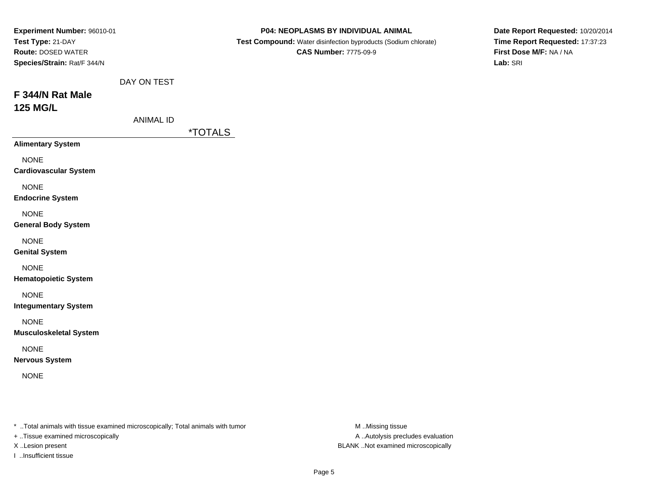| Experiment Number: 96010-01<br>Test Type: 21-DAY<br><b>Route: DOSED WATER</b><br>Species/Strain: Rat/F 344/N |                                 | P04: NEOPLASMS BY INDIVIDUAL ANIMAL<br>Test Compound: Water disinfection byproducts (Sodium chlorate)<br><b>CAS Number: 7775-09-9</b> | Date Report Requested: 10/20/2014<br>Time Report Requested: 17:37:23<br>First Dose M/F: NA / NA<br>Lab: SRI |
|--------------------------------------------------------------------------------------------------------------|---------------------------------|---------------------------------------------------------------------------------------------------------------------------------------|-------------------------------------------------------------------------------------------------------------|
| F 344/N Rat Male<br><b>125 MG/L</b>                                                                          | DAY ON TEST<br><b>ANIMAL ID</b> | <i><b>*TOTALS</b></i>                                                                                                                 |                                                                                                             |
| <b>Alimentary System</b>                                                                                     |                                 |                                                                                                                                       |                                                                                                             |
| <b>NONE</b><br><b>Cardiovascular System</b>                                                                  |                                 |                                                                                                                                       |                                                                                                             |
| <b>NONE</b><br><b>Endocrine System</b>                                                                       |                                 |                                                                                                                                       |                                                                                                             |
| <b>NONE</b><br><b>General Body System</b>                                                                    |                                 |                                                                                                                                       |                                                                                                             |
| <b>NONE</b><br><b>Genital System</b>                                                                         |                                 |                                                                                                                                       |                                                                                                             |
| <b>NONE</b><br><b>Hematopoietic System</b>                                                                   |                                 |                                                                                                                                       |                                                                                                             |
| <b>NONE</b><br><b>Integumentary System</b>                                                                   |                                 |                                                                                                                                       |                                                                                                             |
| <b>NONE</b><br><b>Musculoskeletal System</b>                                                                 |                                 |                                                                                                                                       |                                                                                                             |
| <b>NONE</b><br><b>Nervous System</b>                                                                         |                                 |                                                                                                                                       |                                                                                                             |
| <b>NONE</b>                                                                                                  |                                 |                                                                                                                                       |                                                                                                             |
|                                                                                                              |                                 |                                                                                                                                       |                                                                                                             |

\* ..Total animals with tissue examined microscopically; Total animals with tumor M..Missing tissue M

+ ..Tissue examined microscopically

I ..Insufficient tissue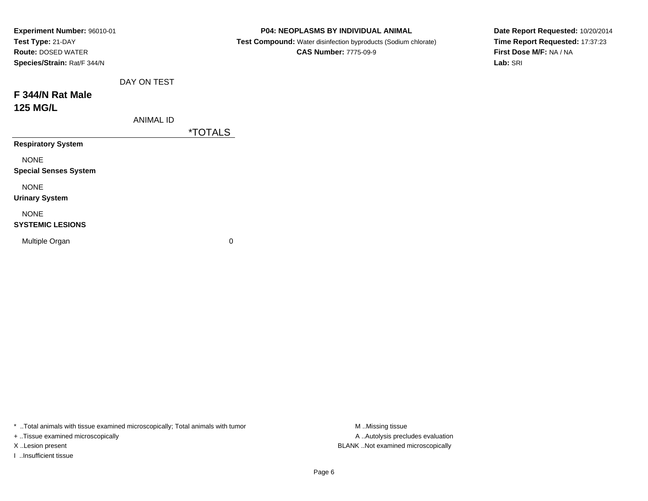| Experiment Number: 96010-01  |                                                                | P04: NEOPLASMS BY INDIVIDUAL ANIMAL | Date Report Requested: 10/20/2014 |  |  |  |  |
|------------------------------|----------------------------------------------------------------|-------------------------------------|-----------------------------------|--|--|--|--|
| Test Type: 21-DAY            | Test Compound: Water disinfection byproducts (Sodium chlorate) |                                     |                                   |  |  |  |  |
| <b>Route: DOSED WATER</b>    |                                                                | <b>CAS Number: 7775-09-9</b>        | First Dose M/F: NA / NA           |  |  |  |  |
| Species/Strain: Rat/F 344/N  |                                                                |                                     | Lab: SRI                          |  |  |  |  |
|                              | DAY ON TEST                                                    |                                     |                                   |  |  |  |  |
| F 344/N Rat Male             |                                                                |                                     |                                   |  |  |  |  |
| <b>125 MG/L</b>              |                                                                |                                     |                                   |  |  |  |  |
|                              | <b>ANIMAL ID</b>                                               |                                     |                                   |  |  |  |  |
|                              |                                                                | <i><b>*TOTALS</b></i>               |                                   |  |  |  |  |
| <b>Respiratory System</b>    |                                                                |                                     |                                   |  |  |  |  |
| <b>NONE</b>                  |                                                                |                                     |                                   |  |  |  |  |
| <b>Special Senses System</b> |                                                                |                                     |                                   |  |  |  |  |
| <b>NONE</b>                  |                                                                |                                     |                                   |  |  |  |  |
| <b>Urinary System</b>        |                                                                |                                     |                                   |  |  |  |  |
| <b>NONE</b>                  |                                                                |                                     |                                   |  |  |  |  |
| <b>SYSTEMIC LESIONS</b>      |                                                                |                                     |                                   |  |  |  |  |
| Multiple Organ               |                                                                | 0                                   |                                   |  |  |  |  |
|                              |                                                                |                                     |                                   |  |  |  |  |

\* ..Total animals with tissue examined microscopically; Total animals with tumor M..Missing tissue M ..Missing tissue

+ ..Tissue examined microscopically

I ..Insufficient tissue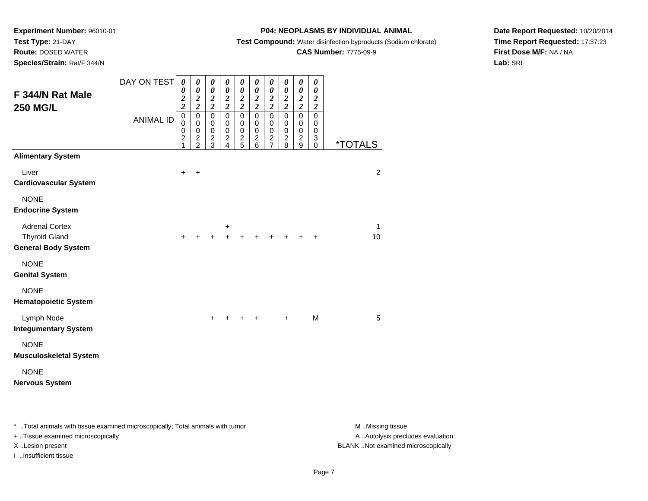**Test Type:** 21-DAY**Route:** DOSED WATER

**Species/Strain:** Rat/F 344/N

### **P04: NEOPLASMS BY INDIVIDUAL ANIMAL**

**Test Compound:** Water disinfection byproducts (Sodium chlorate)

### **CAS Number:** 7775-09-9

**Date Report Requested:** 10/20/2014**Time Report Requested:** 17:37:23**First Dose M/F:** NA / NA**Lab:** SRI

| F 344/N Rat Male<br><b>250 MG/L</b>                                         | DAY ON TEST      | 0<br>0<br>$\frac{2}{2}$<br>$\pmb{0}$    | 0<br>$\boldsymbol{\theta}$<br>$\frac{2}{2}$<br>$\mathsf 0$ | $\pmb{\theta}$<br>$\boldsymbol{\theta}$<br>$\frac{2}{2}$<br>$\mathsf 0$ | 0<br>$\boldsymbol{\theta}$<br>$\frac{2}{2}$<br>$\mathbf 0$ | 0<br>$\pmb{\theta}$<br>$\frac{2}{2}$<br>$\overline{0}$    | 0<br>$\pmb{\theta}$<br>$\frac{2}{2}$<br>$\mathsf 0$ | 0<br>$\boldsymbol{\theta}$<br>$\frac{2}{2}$<br>$\mathsf 0$ | 0<br>$\boldsymbol{\theta}$<br>$\frac{2}{2}$<br>$\mathbf 0$ | 0<br>$\pmb{\theta}$<br>$\frac{2}{2}$<br>$\overline{0}$ | 0<br>$\boldsymbol{\theta}$<br>$\boldsymbol{2}$<br>$\boldsymbol{2}$<br>$\mathbf 0$ |                       |
|-----------------------------------------------------------------------------|------------------|-----------------------------------------|------------------------------------------------------------|-------------------------------------------------------------------------|------------------------------------------------------------|-----------------------------------------------------------|-----------------------------------------------------|------------------------------------------------------------|------------------------------------------------------------|--------------------------------------------------------|-----------------------------------------------------------------------------------|-----------------------|
|                                                                             | <b>ANIMAL ID</b> | $\mathbf 0$<br>0<br>$\overline{c}$<br>1 | $\mathbf 0$<br>$\pmb{0}$<br>$\frac{2}{2}$                  | $\pmb{0}$<br>$\pmb{0}$<br>$\frac{2}{3}$                                 | $\pmb{0}$<br>$\,0\,$<br>$\frac{2}{4}$                      | $\mathbf 0$<br>$\begin{array}{c} 0 \\ 2 \\ 5 \end{array}$ | 0<br>0<br>$\overline{\mathbf{c}}$<br>6              | $\,0\,$<br>$\,0\,$<br>$\frac{2}{7}$                        | 0<br>$\mathbf 0$<br>$\overline{\mathbf{c}}$<br>8           | 0<br>$\mathbf 0$<br>$\frac{2}{9}$                      | 0<br>0<br>3<br>$\Omega$                                                           | <i><b>*TOTALS</b></i> |
| <b>Alimentary System</b>                                                    |                  |                                         |                                                            |                                                                         |                                                            |                                                           |                                                     |                                                            |                                                            |                                                        |                                                                                   |                       |
| Liver<br><b>Cardiovascular System</b>                                       |                  | $\ddot{}$                               | $\ddot{}$                                                  |                                                                         |                                                            |                                                           |                                                     |                                                            |                                                            |                                                        |                                                                                   | $\overline{2}$        |
| <b>NONE</b><br><b>Endocrine System</b>                                      |                  |                                         |                                                            |                                                                         |                                                            |                                                           |                                                     |                                                            |                                                            |                                                        |                                                                                   |                       |
| <b>Adrenal Cortex</b><br><b>Thyroid Gland</b><br><b>General Body System</b> |                  | ٠                                       |                                                            | +                                                                       | $\ddot{}$                                                  |                                                           |                                                     |                                                            |                                                            |                                                        |                                                                                   | $\mathbf{1}$<br>10    |
| <b>NONE</b><br><b>Genital System</b>                                        |                  |                                         |                                                            |                                                                         |                                                            |                                                           |                                                     |                                                            |                                                            |                                                        |                                                                                   |                       |
| <b>NONE</b><br><b>Hematopoietic System</b>                                  |                  |                                         |                                                            |                                                                         |                                                            |                                                           |                                                     |                                                            |                                                            |                                                        |                                                                                   |                       |
| Lymph Node<br><b>Integumentary System</b>                                   |                  |                                         |                                                            | $\ddot{}$                                                               |                                                            |                                                           |                                                     |                                                            | $\ddot{}$                                                  |                                                        | M                                                                                 | 5                     |
| <b>NONE</b><br><b>Musculoskeletal System</b>                                |                  |                                         |                                                            |                                                                         |                                                            |                                                           |                                                     |                                                            |                                                            |                                                        |                                                                                   |                       |
| <b>NONE</b><br><b>Nervous System</b>                                        |                  |                                         |                                                            |                                                                         |                                                            |                                                           |                                                     |                                                            |                                                            |                                                        |                                                                                   |                       |

\* ..Total animals with tissue examined microscopically; Total animals with tumor **M** . Missing tissue M ..Missing tissue

+ ..Tissue examined microscopically

I ..Insufficient tissue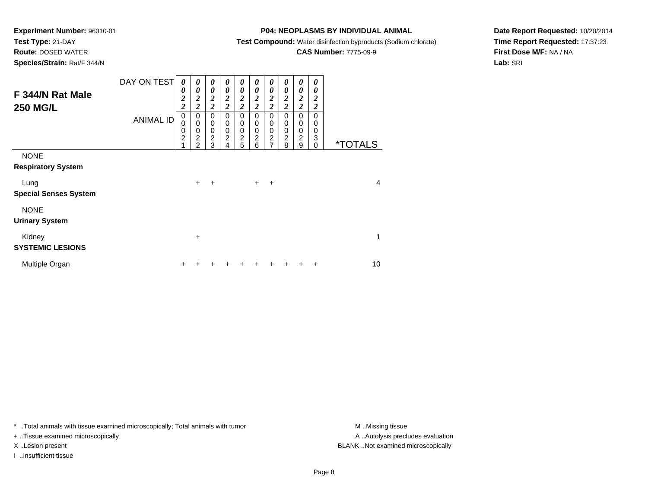### **Test Type:** 21-DAY**Route:** DOSED WATER

**Species/Strain:** Rat/F 344/N

### **P04: NEOPLASMS BY INDIVIDUAL ANIMAL**

**Test Compound:** Water disinfection byproducts (Sodium chlorate)

# **CAS Number:** 7775-09-9

**Date Report Requested:** 10/20/2014**Time Report Requested:** 17:37:23**First Dose M/F:** NA / NA**Lab:** SRI

| F 344/N Rat Male<br><b>250 MG/L</b>      | DAY ON TEST      | $\boldsymbol{\theta}$<br>0<br>$\boldsymbol{2}$<br>$\overline{c}$ | 0<br>$\boldsymbol{\theta}$<br>$\boldsymbol{2}$<br>$\overline{c}$ | 0<br>$\boldsymbol{\theta}$<br>$\boldsymbol{2}$<br>$\boldsymbol{2}$ | 0<br>$\boldsymbol{\theta}$<br>$\boldsymbol{2}$<br>$\overline{2}$ | 0<br>$\boldsymbol{\theta}$<br>$\boldsymbol{2}$<br>$\overline{\mathbf{c}}$ | 0<br>$\boldsymbol{\theta}$<br>$\boldsymbol{2}$<br>$\overline{\mathbf{c}}$ | 0<br>$\boldsymbol{\theta}$<br>$\boldsymbol{2}$<br>$\overline{\mathbf{c}}$ | 0<br>$\boldsymbol{\theta}$<br>$\boldsymbol{2}$<br>$\overline{2}$ | 0<br>$\boldsymbol{\theta}$<br>$\overline{2}$<br>$\overline{\mathbf{c}}$ | 0<br>0<br>$\overline{2}$<br>$\overline{c}$ |                       |
|------------------------------------------|------------------|------------------------------------------------------------------|------------------------------------------------------------------|--------------------------------------------------------------------|------------------------------------------------------------------|---------------------------------------------------------------------------|---------------------------------------------------------------------------|---------------------------------------------------------------------------|------------------------------------------------------------------|-------------------------------------------------------------------------|--------------------------------------------|-----------------------|
|                                          | <b>ANIMAL ID</b> | 0<br>0<br>$\mathbf 0$<br>$\overline{2}$<br>4                     | 0<br>$\mathbf 0$<br>$\pmb{0}$<br>$\overline{c}$<br>2             | 0<br>0<br>$\mathbf 0$<br>$\overline{2}$<br>3                       | $\mathbf 0$<br>0<br>$\pmb{0}$<br>$\overline{c}$<br>4             | $\mathbf 0$<br>0<br>$\mathbf 0$<br>$\overline{c}$<br>5                    | $\pmb{0}$<br>0<br>$\pmb{0}$<br>$\overline{2}$<br>6                        | $\mathbf 0$<br>0<br>$\mathbf 0$<br>$\overline{c}$<br>$\overline{7}$       | $\mathbf 0$<br>0<br>$\mathbf 0$<br>$\overline{c}$<br>8           | $\mathbf 0$<br>$\mathbf 0$<br>$\mathbf 0$<br>$\overline{2}$<br>9        | $\mathbf 0$<br>0<br>0<br>3<br>0            | <i><b>*TOTALS</b></i> |
| <b>NONE</b><br><b>Respiratory System</b> |                  |                                                                  |                                                                  |                                                                    |                                                                  |                                                                           |                                                                           |                                                                           |                                                                  |                                                                         |                                            |                       |
| Lung<br><b>Special Senses System</b>     |                  |                                                                  | $\ddot{}$                                                        | ÷                                                                  |                                                                  |                                                                           | $+$                                                                       | $\ddot{}$                                                                 |                                                                  |                                                                         |                                            | 4                     |
| <b>NONE</b><br><b>Urinary System</b>     |                  |                                                                  |                                                                  |                                                                    |                                                                  |                                                                           |                                                                           |                                                                           |                                                                  |                                                                         |                                            |                       |
| Kidney<br><b>SYSTEMIC LESIONS</b>        |                  |                                                                  | $\ddot{}$                                                        |                                                                    |                                                                  |                                                                           |                                                                           |                                                                           |                                                                  |                                                                         |                                            | 1                     |
| Multiple Organ                           |                  | ÷                                                                |                                                                  |                                                                    |                                                                  |                                                                           |                                                                           |                                                                           |                                                                  | ٠                                                                       | ÷                                          | 10                    |

\* ..Total animals with tissue examined microscopically; Total animals with tumor **M** . Missing tissue M ..Missing tissue

+ ..Tissue examined microscopically

I ..Insufficient tissue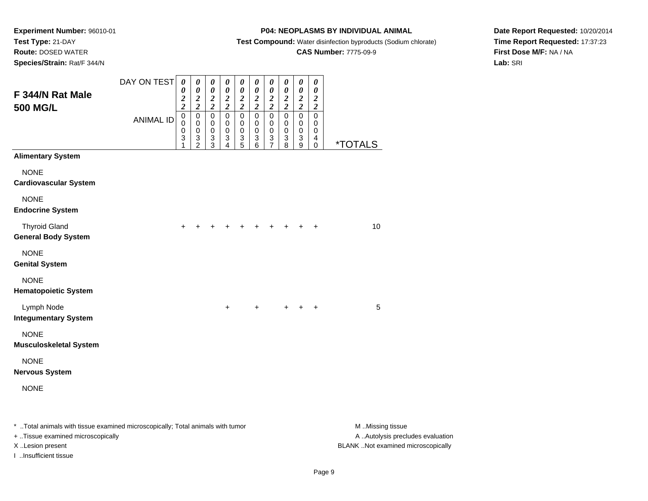**Route:** DOSED WATER

**Species/Strain:** Rat/F 344/N

### **P04: NEOPLASMS BY INDIVIDUAL ANIMAL**

**Test Compound:** Water disinfection byproducts (Sodium chlorate)

### **CAS Number:** 7775-09-9

**Date Report Requested:** 10/20/2014**Time Report Requested:** 17:37:23**First Dose M/F:** NA / NA**Lab:** SRI

| F 344/N Rat Male<br><b>500 MG/L</b>                                            | DAY ON TEST      | $\boldsymbol{\theta}$<br>0<br>$\frac{2}{2}$ | 0<br>$\pmb{\theta}$<br>$\frac{2}{2}$                   | 0<br>$\pmb{\theta}$<br>$\frac{2}{2}$                      | 0<br>$\boldsymbol{\theta}$<br>$\frac{2}{2}$                       | 0<br>$\pmb{\theta}$<br>$\frac{2}{2}$                       | $\boldsymbol{\theta}$<br>$\boldsymbol{\theta}$<br>$\frac{2}{2}$ | 0<br>$\boldsymbol{\theta}$<br>$\frac{2}{2}$             | 0<br>$\boldsymbol{\theta}$<br>$\frac{2}{2}$                     | 0<br>$\pmb{\theta}$<br>$\frac{2}{2}$                  | $\pmb{\theta}$<br>$\pmb{\theta}$<br>$\frac{2}{2}$                        |                  |
|--------------------------------------------------------------------------------|------------------|---------------------------------------------|--------------------------------------------------------|-----------------------------------------------------------|-------------------------------------------------------------------|------------------------------------------------------------|-----------------------------------------------------------------|---------------------------------------------------------|-----------------------------------------------------------------|-------------------------------------------------------|--------------------------------------------------------------------------|------------------|
|                                                                                | <b>ANIMAL ID</b> | $\mathbf 0$<br>$\mathbf 0$<br>0<br>3<br>1   | $\mathbf 0$<br>$\pmb{0}$<br>$\pmb{0}$<br>$\frac{3}{2}$ | $\overline{0}$<br>$\pmb{0}$<br>$\pmb{0}$<br>$\frac{3}{3}$ | $\mathbf 0$<br>$\mathbf 0$<br>0<br>$\ensuremath{\mathsf{3}}$<br>4 | $\mathbf 0$<br>$\,0\,$<br>$\pmb{0}$<br>$\overline{3}$<br>5 | $\mathbf 0$<br>$\,0\,$<br>$\,0\,$<br>$\frac{3}{6}$              | $\overline{0}$<br>$\pmb{0}$<br>0<br>3<br>$\overline{7}$ | $\overline{0}$<br>$\pmb{0}$<br>$\pmb{0}$<br>$\overline{3}$<br>8 | $\overline{0}$<br>$\mathbf 0$<br>0<br>$\sqrt{3}$<br>9 | $\overline{0}$<br>$\pmb{0}$<br>0<br>$\overline{\mathbf{4}}$<br>$\pmb{0}$ | *TOTALS          |
| <b>Alimentary System</b>                                                       |                  |                                             |                                                        |                                                           |                                                                   |                                                            |                                                                 |                                                         |                                                                 |                                                       |                                                                          |                  |
| <b>NONE</b><br><b>Cardiovascular System</b>                                    |                  |                                             |                                                        |                                                           |                                                                   |                                                            |                                                                 |                                                         |                                                                 |                                                       |                                                                          |                  |
| <b>NONE</b><br><b>Endocrine System</b>                                         |                  |                                             |                                                        |                                                           |                                                                   |                                                            |                                                                 |                                                         |                                                                 |                                                       |                                                                          |                  |
| <b>Thyroid Gland</b><br><b>General Body System</b>                             |                  | $\pm$                                       |                                                        |                                                           | ٠                                                                 | +                                                          | ٠                                                               | ÷                                                       | $\pm$                                                           | $\ddot{}$                                             | $\ddot{}$                                                                | 10               |
| <b>NONE</b><br><b>Genital System</b>                                           |                  |                                             |                                                        |                                                           |                                                                   |                                                            |                                                                 |                                                         |                                                                 |                                                       |                                                                          |                  |
| <b>NONE</b><br><b>Hematopoietic System</b>                                     |                  |                                             |                                                        |                                                           |                                                                   |                                                            |                                                                 |                                                         |                                                                 |                                                       |                                                                          |                  |
| Lymph Node<br><b>Integumentary System</b>                                      |                  |                                             |                                                        |                                                           | $\ddot{}$                                                         |                                                            | +                                                               |                                                         | $+$                                                             | $\ddot{}$                                             | $\ddot{}$                                                                | 5                |
| <b>NONE</b><br><b>Musculoskeletal System</b>                                   |                  |                                             |                                                        |                                                           |                                                                   |                                                            |                                                                 |                                                         |                                                                 |                                                       |                                                                          |                  |
| <b>NONE</b><br><b>Nervous System</b>                                           |                  |                                             |                                                        |                                                           |                                                                   |                                                            |                                                                 |                                                         |                                                                 |                                                       |                                                                          |                  |
| <b>NONE</b>                                                                    |                  |                                             |                                                        |                                                           |                                                                   |                                                            |                                                                 |                                                         |                                                                 |                                                       |                                                                          |                  |
| * Total animals with tissue examined microscopically; Total animals with tumor |                  |                                             |                                                        |                                                           |                                                                   |                                                            |                                                                 |                                                         |                                                                 |                                                       |                                                                          | M Missing tissue |

+ ..Tissue examined microscopically

I ..Insufficient tissue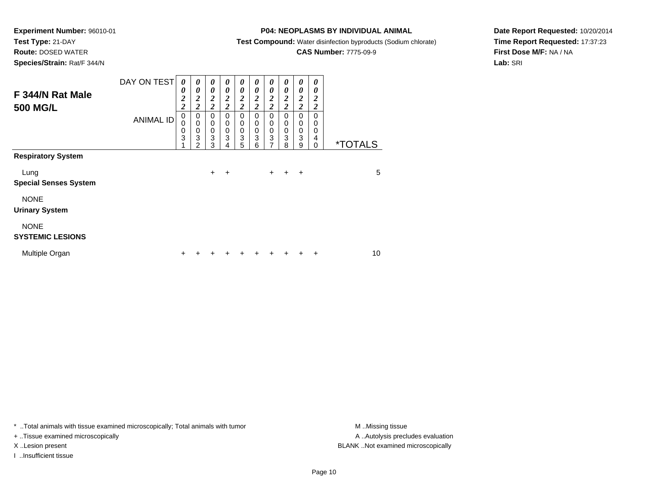# **Test Type:** 21-DAY

**Route:** DOSED WATER

**Species/Strain:** Rat/F 344/N

# **P04: NEOPLASMS BY INDIVIDUAL ANIMAL**

**Test Compound:** Water disinfection byproducts (Sodium chlorate)

# **CAS Number:** 7775-09-9

**Date Report Requested:** 10/20/2014**Time Report Requested:** 17:37:23**First Dose M/F:** NA / NA**Lab:** SRI

| F 344/N Rat Male<br><b>500 MG/L</b>    | DAY ON TEST      | 0<br>0<br>$\overline{\mathbf{c}}$<br>$\overline{\mathbf{c}}$ | 0<br>0<br>$\boldsymbol{2}$<br>$\overline{\mathbf{c}}$ | $\boldsymbol{\theta}$<br>0<br>$\boldsymbol{2}$<br>$\overline{2}$ | 0<br>0<br>$\boldsymbol{2}$<br>$\overline{c}$ | $\boldsymbol{\theta}$<br>$\boldsymbol{\theta}$<br>$\overline{2}$<br>$\overline{2}$ | 0<br>0<br>$\boldsymbol{2}$<br>$\overline{2}$        | 0<br>$\boldsymbol{\theta}$<br>$\overline{2}$<br>$\overline{c}$ | 0<br>$\boldsymbol{\theta}$<br>$\boldsymbol{2}$<br>$\overline{\mathbf{c}}$ | $\boldsymbol{\theta}$<br>$\boldsymbol{\theta}$<br>$\boldsymbol{2}$<br>$\overline{2}$ | 0<br>0<br>2<br>$\overline{\mathbf{c}}$ |                       |
|----------------------------------------|------------------|--------------------------------------------------------------|-------------------------------------------------------|------------------------------------------------------------------|----------------------------------------------|------------------------------------------------------------------------------------|-----------------------------------------------------|----------------------------------------------------------------|---------------------------------------------------------------------------|--------------------------------------------------------------------------------------|----------------------------------------|-----------------------|
|                                        | <b>ANIMAL ID</b> | 0<br>0<br>$\mathbf 0$<br>3<br>4                              | 0<br>0<br>0<br>3<br>2                                 | $\mathbf 0$<br>$\mathbf 0$<br>0<br>3<br>3                        | 0<br>0<br>$\mathbf 0$<br>3<br>4              | 0<br>$\mathbf 0$<br>$\mathbf 0$<br>3<br>5                                          | $\mathbf 0$<br>$\mathbf 0$<br>$\mathbf 0$<br>3<br>6 | 0<br>$\mathbf 0$<br>$\mathbf 0$<br>3<br>7                      | $\Omega$<br>0<br>$\mathbf 0$<br>3<br>8                                    | $\mathbf 0$<br>$\mathbf 0$<br>$\mathbf 0$<br>3<br>9                                  | $\Omega$<br>0<br>0<br>4<br>0           | <i><b>*TOTALS</b></i> |
| <b>Respiratory System</b>              |                  |                                                              |                                                       |                                                                  |                                              |                                                                                    |                                                     |                                                                |                                                                           |                                                                                      |                                        |                       |
| Lung<br><b>Special Senses System</b>   |                  |                                                              |                                                       | $+$                                                              | ÷                                            |                                                                                    |                                                     | $+$                                                            | $\ddot{}$                                                                 | $\ddot{}$                                                                            |                                        | 5                     |
| <b>NONE</b><br><b>Urinary System</b>   |                  |                                                              |                                                       |                                                                  |                                              |                                                                                    |                                                     |                                                                |                                                                           |                                                                                      |                                        |                       |
| <b>NONE</b><br><b>SYSTEMIC LESIONS</b> |                  |                                                              |                                                       |                                                                  |                                              |                                                                                    |                                                     |                                                                |                                                                           |                                                                                      |                                        |                       |
| Multiple Organ                         |                  | ÷                                                            |                                                       |                                                                  |                                              | ٠                                                                                  |                                                     |                                                                |                                                                           |                                                                                      | +                                      | 10                    |

\* ..Total animals with tissue examined microscopically; Total animals with tumor **M** . Missing tissue M ..Missing tissue

+ ..Tissue examined microscopically

I ..Insufficient tissue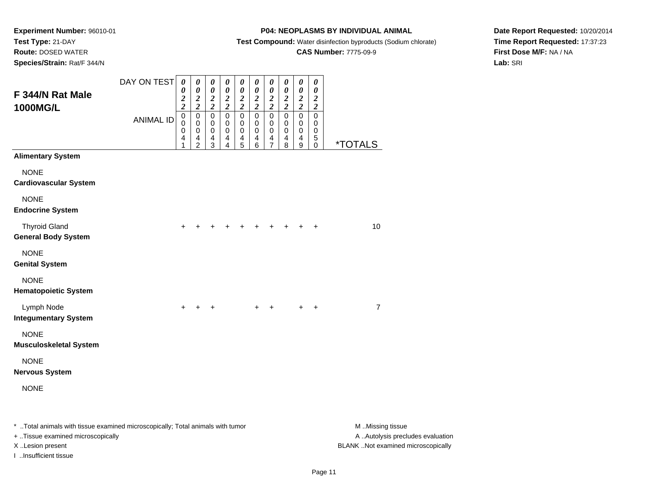#### **Route:** DOSED WATER

**Species/Strain:** Rat/F 344/N

### **P04: NEOPLASMS BY INDIVIDUAL ANIMAL**

**Test Compound:** Water disinfection byproducts (Sodium chlorate)

### **CAS Number:** 7775-09-9

**Date Report Requested:** 10/20/2014**Time Report Requested:** 17:37:23**First Dose M/F:** NA / NA**Lab:** SRI

| F 344/N Rat Male<br><b>1000MG/L</b>                | DAY ON TEST      | $\boldsymbol{\theta}$<br>$\pmb{\theta}$<br>$\overline{\mathbf{c}}$<br>$\overline{2}$ | $\pmb{\theta}$<br>$\pmb{\theta}$<br>$\boldsymbol{2}$<br>$\overline{2}$             | 0<br>$\pmb{\theta}$<br>$\overline{2}$<br>$\overline{2}$ | $\pmb{\theta}$<br>$\pmb{\theta}$<br>$\boldsymbol{2}$<br>$\overline{2}$ | 0<br>$\pmb{\theta}$<br>$\boldsymbol{2}$<br>$\overline{2}$ | $\boldsymbol{\theta}$<br>$\pmb{\theta}$<br>$\boldsymbol{2}$<br>$\overline{2}$ | 0<br>$\pmb{\theta}$<br>$\boldsymbol{2}$<br>$\overline{2}$                | $\pmb{\theta}$<br>$\pmb{\theta}$<br>$\boldsymbol{2}$<br>$\overline{2}$ | 0<br>$\pmb{\theta}$<br>$\boldsymbol{2}$<br>$\overline{2}$   | $\boldsymbol{\theta}$<br>$\boldsymbol{\theta}$<br>$\overline{2}$<br>$\overline{\mathbf{c}}$ |                       |
|----------------------------------------------------|------------------|--------------------------------------------------------------------------------------|------------------------------------------------------------------------------------|---------------------------------------------------------|------------------------------------------------------------------------|-----------------------------------------------------------|-------------------------------------------------------------------------------|--------------------------------------------------------------------------|------------------------------------------------------------------------|-------------------------------------------------------------|---------------------------------------------------------------------------------------------|-----------------------|
|                                                    | <b>ANIMAL ID</b> | $\pmb{0}$<br>$\mathbf 0$<br>0<br>4<br>1                                              | $\mathbf 0$<br>$\pmb{0}$<br>$\pmb{0}$<br>$\overline{\mathbf{4}}$<br>$\overline{2}$ | $\pmb{0}$<br>$\mathbf 0$<br>$\mathbf 0$<br>4<br>3       | $\pmb{0}$<br>$\pmb{0}$<br>$\pmb{0}$<br>$\overline{\mathbf{4}}$<br>4    | $\pmb{0}$<br>0<br>$\mathbf 0$<br>$\overline{4}$<br>5      | $\pmb{0}$<br>$\pmb{0}$<br>$\pmb{0}$<br>$\overline{4}$<br>6                    | $\pmb{0}$<br>0<br>$\pmb{0}$<br>$\overline{\mathbf{4}}$<br>$\overline{7}$ | $\pmb{0}$<br>$\mathbf 0$<br>$\mathbf 0$<br>$\overline{4}$<br>8         | $\pmb{0}$<br>0<br>$\pmb{0}$<br>$\overline{\mathbf{4}}$<br>9 | $\mathbf 0$<br>0<br>$\pmb{0}$<br>$\mathbf 5$<br>0                                           | <i><b>*TOTALS</b></i> |
| <b>Alimentary System</b>                           |                  |                                                                                      |                                                                                    |                                                         |                                                                        |                                                           |                                                                               |                                                                          |                                                                        |                                                             |                                                                                             |                       |
| <b>NONE</b><br><b>Cardiovascular System</b>        |                  |                                                                                      |                                                                                    |                                                         |                                                                        |                                                           |                                                                               |                                                                          |                                                                        |                                                             |                                                                                             |                       |
| <b>NONE</b><br><b>Endocrine System</b>             |                  |                                                                                      |                                                                                    |                                                         |                                                                        |                                                           |                                                                               |                                                                          |                                                                        |                                                             |                                                                                             |                       |
| <b>Thyroid Gland</b><br><b>General Body System</b> |                  | +                                                                                    |                                                                                    |                                                         |                                                                        |                                                           |                                                                               |                                                                          |                                                                        |                                                             | +                                                                                           | 10                    |
| <b>NONE</b><br><b>Genital System</b>               |                  |                                                                                      |                                                                                    |                                                         |                                                                        |                                                           |                                                                               |                                                                          |                                                                        |                                                             |                                                                                             |                       |
| <b>NONE</b><br><b>Hematopoietic System</b>         |                  |                                                                                      |                                                                                    |                                                         |                                                                        |                                                           |                                                                               |                                                                          |                                                                        |                                                             |                                                                                             |                       |
| Lymph Node<br><b>Integumentary System</b>          |                  |                                                                                      |                                                                                    |                                                         |                                                                        |                                                           |                                                                               |                                                                          |                                                                        |                                                             | $\ddot{}$                                                                                   | $\overline{7}$        |
| <b>NONE</b><br><b>Musculoskeletal System</b>       |                  |                                                                                      |                                                                                    |                                                         |                                                                        |                                                           |                                                                               |                                                                          |                                                                        |                                                             |                                                                                             |                       |
| <b>NONE</b><br><b>Nervous System</b>               |                  |                                                                                      |                                                                                    |                                                         |                                                                        |                                                           |                                                                               |                                                                          |                                                                        |                                                             |                                                                                             |                       |
| <b>NONE</b>                                        |                  |                                                                                      |                                                                                    |                                                         |                                                                        |                                                           |                                                                               |                                                                          |                                                                        |                                                             |                                                                                             |                       |
|                                                    |                  |                                                                                      |                                                                                    |                                                         |                                                                        |                                                           |                                                                               |                                                                          |                                                                        |                                                             |                                                                                             | .                     |

\* ..Total animals with tissue examined microscopically; Total animals with tumor **M** ...Missing tissue M ...Missing tissue A ..Autolysis precludes evaluation + ..Tissue examined microscopically X ..Lesion present BLANK ..Not examined microscopicallyI ..Insufficient tissue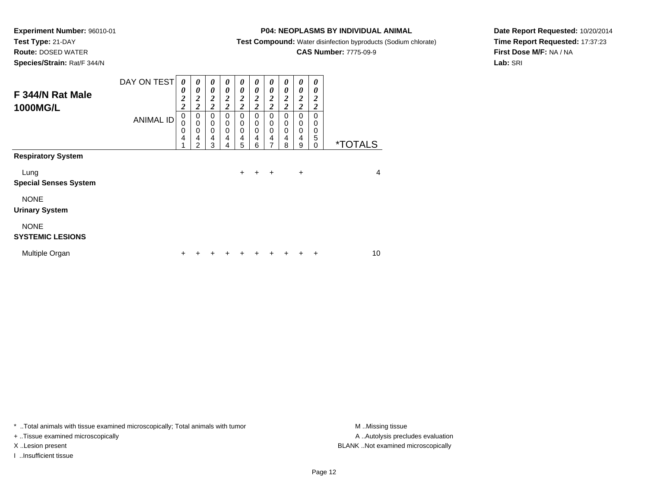**Test Type:** 21-DAY**Route:** DOSED WATER

**Species/Strain:** Rat/F 344/N

### **P04: NEOPLASMS BY INDIVIDUAL ANIMAL**

**Test Compound:** Water disinfection byproducts (Sodium chlorate)

### **CAS Number:** 7775-09-9

**Date Report Requested:** 10/20/2014**Time Report Requested:** 17:37:23**First Dose M/F:** NA / NA**Lab:** SRI

| F 344/N Rat Male<br><b>1000MG/L</b>    | DAY ON TEST      | 0<br>0<br>$\overline{2}$<br>$\overline{\mathbf{c}}$ | 0<br>0<br>$\overline{2}$<br>$\boldsymbol{2}$ | 0<br>$\boldsymbol{\theta}$<br>$\overline{2}$<br>$\overline{2}$ | 0<br>0<br>$\overline{\mathbf{c}}$<br>$\overline{\mathbf{c}}$ | 0<br>0<br>$\boldsymbol{2}$<br>$\overline{2}$           | 0<br>0<br>$\boldsymbol{2}$<br>$\overline{c}$ | 0<br>$\boldsymbol{\theta}$<br>$\boldsymbol{2}$<br>$\overline{2}$ | 0<br>0<br>$\boldsymbol{2}$<br>$\overline{c}$ | 0<br>$\boldsymbol{\theta}$<br>$\overline{2}$<br>$\overline{2}$ | 0<br>0<br>2<br>2                           |                       |
|----------------------------------------|------------------|-----------------------------------------------------|----------------------------------------------|----------------------------------------------------------------|--------------------------------------------------------------|--------------------------------------------------------|----------------------------------------------|------------------------------------------------------------------|----------------------------------------------|----------------------------------------------------------------|--------------------------------------------|-----------------------|
| <b>Respiratory System</b>              | <b>ANIMAL ID</b> | 0<br>$\Omega$<br>0<br>4                             | 0<br>0<br>$\mathbf 0$<br>4<br>2              | $\mathbf 0$<br>0<br>$\mathbf 0$<br>$\overline{4}$<br>3         | 0<br>0<br>0<br>$\overline{4}$<br>4                           | $\mathbf 0$<br>0<br>$\mathbf 0$<br>$\overline{4}$<br>5 | 0<br>0<br>0<br>4<br>6                        | $\mathbf 0$<br>0<br>$\mathbf 0$<br>4<br>7                        | 0<br>0<br>$\mathbf 0$<br>4<br>8              | 0<br>0<br>$\mathbf 0$<br>$\overline{4}$<br>9                   | $\Omega$<br>$\Omega$<br>0<br>5<br>$\Omega$ | <i><b>*TOTALS</b></i> |
|                                        |                  |                                                     |                                              |                                                                |                                                              |                                                        |                                              |                                                                  |                                              |                                                                |                                            |                       |
| Lung<br><b>Special Senses System</b>   |                  |                                                     |                                              |                                                                |                                                              | $+$                                                    | $+$                                          | $\ddot{}$                                                        |                                              | +                                                              |                                            | $\overline{4}$        |
| <b>NONE</b><br><b>Urinary System</b>   |                  |                                                     |                                              |                                                                |                                                              |                                                        |                                              |                                                                  |                                              |                                                                |                                            |                       |
| <b>NONE</b><br><b>SYSTEMIC LESIONS</b> |                  |                                                     |                                              |                                                                |                                                              |                                                        |                                              |                                                                  |                                              |                                                                |                                            |                       |
| Multiple Organ                         |                  | ٠                                                   |                                              |                                                                |                                                              | ÷                                                      | ٠                                            | +                                                                | +                                            |                                                                | $\ddot{}$                                  | 10                    |

\* ..Total animals with tissue examined microscopically; Total animals with tumor **M** . Missing tissue M ..Missing tissue

+ ..Tissue examined microscopically

I ..Insufficient tissue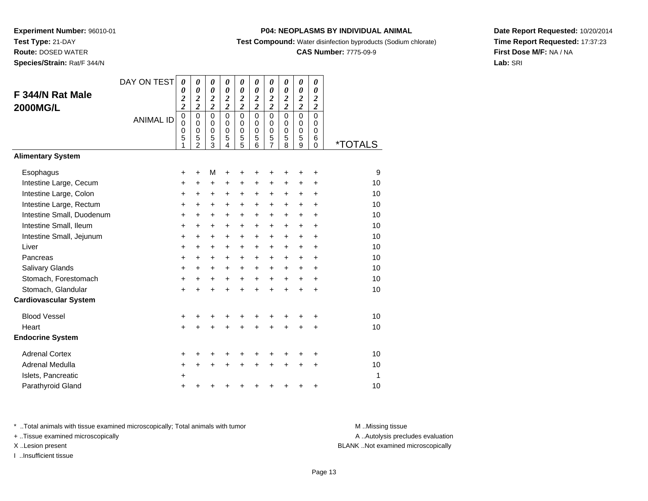**Route:** DOSED WATER

**Species/Strain:** Rat/F 344/N

### **P04: NEOPLASMS BY INDIVIDUAL ANIMAL**

**Test Compound:** Water disinfection byproducts (Sodium chlorate)

### **CAS Number:** 7775-09-9

**Date Report Requested:** 10/20/2014**Time Report Requested:** 17:37:23**First Dose M/F:** NA / NA**Lab:** SRI

| F 344/N Rat Male<br><b>2000MG/L</b> | DAY ON TEST<br><b>ANIMAL ID</b> | 0<br>0<br>$\overline{\mathbf{c}}$<br>$\overline{\mathbf{c}}$<br>$\overline{0}$<br>$\mathbf 0$<br>0<br>5<br>1 | 0<br>$\boldsymbol{\theta}$<br>$\boldsymbol{2}$<br>$\overline{\mathbf{c}}$<br>$\mathbf 0$<br>$\mathbf 0$<br>$\mathbf 0$<br>5<br>$\mathfrak{p}$ | 0<br>0<br>$\boldsymbol{2}$<br>$\overline{\mathbf{c}}$<br>$\overline{0}$<br>$\mathbf 0$<br>$\mathbf 0$<br>5<br>3 | 0<br>0<br>$\boldsymbol{2}$<br>$\overline{\mathbf{c}}$<br>$\overline{0}$<br>0<br>$\mathbf 0$<br>5<br>4 | 0<br>0<br>$\overline{\mathbf{c}}$<br>$\overline{\mathbf{c}}$<br>$\overline{0}$<br>$\mathbf 0$<br>0<br>5<br>5 | 0<br>0<br>$\boldsymbol{2}$<br>$\overline{2}$<br>$\overline{0}$<br>$\mathbf 0$<br>$\mathbf 0$<br>5<br>6 | 0<br>$\boldsymbol{\theta}$<br>$\boldsymbol{2}$<br>$\overline{\mathbf{c}}$<br>$\mathbf 0$<br>$\mathbf 0$<br>0<br>$\frac{5}{7}$ | 0<br>$\boldsymbol{\theta}$<br>$\boldsymbol{2}$<br>$\overline{\mathbf{c}}$<br>$\mathbf 0$<br>$\mathbf 0$<br>$\pmb{0}$<br>5<br>8 | 0<br>0<br>$\frac{2}{2}$<br>$\overline{0}$<br>$\mathbf 0$<br>$\mathbf 0$<br>5<br>9 | 0<br>$\boldsymbol{\theta}$<br>$\overline{\mathbf{c}}$<br>$\overline{c}$<br>$\mathbf 0$<br>$\mathbf 0$<br>0<br>6 | <i><b>*TOTALS</b></i> |
|-------------------------------------|---------------------------------|--------------------------------------------------------------------------------------------------------------|-----------------------------------------------------------------------------------------------------------------------------------------------|-----------------------------------------------------------------------------------------------------------------|-------------------------------------------------------------------------------------------------------|--------------------------------------------------------------------------------------------------------------|--------------------------------------------------------------------------------------------------------|-------------------------------------------------------------------------------------------------------------------------------|--------------------------------------------------------------------------------------------------------------------------------|-----------------------------------------------------------------------------------|-----------------------------------------------------------------------------------------------------------------|-----------------------|
| <b>Alimentary System</b>            |                                 |                                                                                                              |                                                                                                                                               |                                                                                                                 |                                                                                                       |                                                                                                              |                                                                                                        |                                                                                                                               |                                                                                                                                |                                                                                   | $\Omega$                                                                                                        |                       |
| Esophagus                           |                                 | +                                                                                                            | $\ddot{}$                                                                                                                                     | M                                                                                                               | $\ddot{}$                                                                                             | +                                                                                                            | +                                                                                                      | +                                                                                                                             |                                                                                                                                | ٠                                                                                 | +                                                                                                               | 9                     |
| Intestine Large, Cecum              |                                 | $\ddot{}$                                                                                                    | $\ddot{}$                                                                                                                                     | $\ddot{}$                                                                                                       | $\ddot{}$                                                                                             | $\ddot{}$                                                                                                    | $\ddot{}$                                                                                              | $\ddot{}$                                                                                                                     | $\ddot{}$                                                                                                                      | $\ddot{}$                                                                         | $\ddot{}$                                                                                                       | 10                    |
| Intestine Large, Colon              |                                 | $\ddot{}$                                                                                                    | $\ddot{}$                                                                                                                                     | $\ddot{}$                                                                                                       | $\ddot{}$                                                                                             | $+$                                                                                                          | $\ddot{}$                                                                                              | $\ddot{}$                                                                                                                     | $\ddot{}$                                                                                                                      | $\ddot{}$                                                                         | ÷                                                                                                               | 10                    |
| Intestine Large, Rectum             |                                 | $\ddot{}$                                                                                                    | $\ddot{}$                                                                                                                                     | $\ddot{}$                                                                                                       | $\ddot{}$                                                                                             | $\ddot{}$                                                                                                    | $\ddot{}$                                                                                              | $\ddot{}$                                                                                                                     | $\ddot{}$                                                                                                                      | $+$                                                                               | $\ddot{}$                                                                                                       | 10                    |
| Intestine Small, Duodenum           |                                 | $\ddot{}$                                                                                                    | $\ddot{}$                                                                                                                                     | $\ddot{}$                                                                                                       | $\ddot{}$                                                                                             | $\ddot{}$                                                                                                    | $\ddot{}$                                                                                              | $\ddot{}$                                                                                                                     | $\ddot{}$                                                                                                                      | $\ddot{}$                                                                         | $\ddot{}$                                                                                                       | 10                    |
| Intestine Small, Ileum              |                                 | $\ddot{}$                                                                                                    | $\ddot{}$                                                                                                                                     | $\ddot{}$                                                                                                       | $\ddot{}$                                                                                             | $\ddot{}$                                                                                                    | $\ddot{}$                                                                                              | $\ddot{}$                                                                                                                     | $+$                                                                                                                            | $\ddot{}$                                                                         | $\ddot{}$                                                                                                       | 10                    |
| Intestine Small, Jejunum            |                                 | +                                                                                                            | $\ddot{}$                                                                                                                                     | $\ddot{}$                                                                                                       | $\ddot{}$                                                                                             | $\ddot{}$                                                                                                    | $\ddot{}$                                                                                              | $\ddot{}$                                                                                                                     | $\ddot{}$                                                                                                                      | $\ddot{}$                                                                         | $\ddot{}$                                                                                                       | 10                    |
| Liver                               |                                 | $\ddot{}$                                                                                                    | $\ddot{}$                                                                                                                                     | $\ddot{}$                                                                                                       | $\ddot{}$                                                                                             | $\ddot{}$                                                                                                    | $\ddot{}$                                                                                              | $\ddot{}$                                                                                                                     | $+$                                                                                                                            | $\ddot{}$                                                                         | $\ddot{}$                                                                                                       | 10                    |
| Pancreas                            |                                 | $\ddot{}$                                                                                                    | +                                                                                                                                             | +                                                                                                               | $\ddot{}$                                                                                             | +                                                                                                            | $\ddot{}$                                                                                              | $\ddot{}$                                                                                                                     | $\ddot{}$                                                                                                                      | $\ddot{}$                                                                         | $\ddot{}$                                                                                                       | 10                    |
| Salivary Glands                     |                                 | $\ddot{}$                                                                                                    | $\ddot{}$                                                                                                                                     | +                                                                                                               | $\ddot{}$                                                                                             | +                                                                                                            | $\ddot{}$                                                                                              | $\ddot{}$                                                                                                                     | $\ddot{}$                                                                                                                      | $\ddot{}$                                                                         | $\ddot{}$                                                                                                       | 10                    |
| Stomach, Forestomach                |                                 | $\ddot{}$                                                                                                    | $\ddot{}$                                                                                                                                     | $\ddot{}$                                                                                                       | $\ddot{}$                                                                                             | $+$                                                                                                          | $+$                                                                                                    | $+$                                                                                                                           | $+$                                                                                                                            | $\ddot{}$                                                                         | +                                                                                                               | 10                    |
| Stomach, Glandular                  |                                 | $\ddot{}$                                                                                                    | ÷                                                                                                                                             | $\ddot{}$                                                                                                       | $\ddot{}$                                                                                             | $\ddot{}$                                                                                                    | $\ddot{}$                                                                                              | $\ddot{}$                                                                                                                     | $\ddot{}$                                                                                                                      | $\ddot{}$                                                                         | $\ddot{}$                                                                                                       | 10                    |
| <b>Cardiovascular System</b>        |                                 |                                                                                                              |                                                                                                                                               |                                                                                                                 |                                                                                                       |                                                                                                              |                                                                                                        |                                                                                                                               |                                                                                                                                |                                                                                   |                                                                                                                 |                       |
| <b>Blood Vessel</b>                 |                                 | +                                                                                                            | +                                                                                                                                             | +                                                                                                               |                                                                                                       | +                                                                                                            |                                                                                                        |                                                                                                                               |                                                                                                                                |                                                                                   | +                                                                                                               | 10                    |
| Heart                               |                                 | $\ddot{}$                                                                                                    | $\ddot{}$                                                                                                                                     | $\ddot{}$                                                                                                       | ÷                                                                                                     | $\ddot{}$                                                                                                    | $\ddot{}$                                                                                              | $\ddot{}$                                                                                                                     |                                                                                                                                |                                                                                   | $\ddot{}$                                                                                                       | 10                    |
| <b>Endocrine System</b>             |                                 |                                                                                                              |                                                                                                                                               |                                                                                                                 |                                                                                                       |                                                                                                              |                                                                                                        |                                                                                                                               |                                                                                                                                |                                                                                   |                                                                                                                 |                       |
| <b>Adrenal Cortex</b>               |                                 | +                                                                                                            | +                                                                                                                                             |                                                                                                                 |                                                                                                       |                                                                                                              |                                                                                                        |                                                                                                                               |                                                                                                                                |                                                                                   | ٠                                                                                                               | 10                    |
| Adrenal Medulla                     |                                 | +                                                                                                            | $\ddot{}$                                                                                                                                     | +                                                                                                               | $\ddot{}$                                                                                             | +                                                                                                            | $\ddot{}$                                                                                              | +                                                                                                                             | $\ddot{}$                                                                                                                      | +                                                                                 | +                                                                                                               | 10                    |
| Islets, Pancreatic                  |                                 | $\ddot{}$                                                                                                    |                                                                                                                                               |                                                                                                                 |                                                                                                       |                                                                                                              |                                                                                                        |                                                                                                                               |                                                                                                                                |                                                                                   |                                                                                                                 | 1                     |
| Parathyroid Gland                   |                                 | $\ddot{}$                                                                                                    | +                                                                                                                                             | +                                                                                                               |                                                                                                       | +                                                                                                            | +                                                                                                      | +                                                                                                                             |                                                                                                                                | ٠                                                                                 | +                                                                                                               | 10                    |

\* ..Total animals with tissue examined microscopically; Total animals with tumor **M** . Missing tissue M ..Missing tissue

+ ..Tissue examined microscopically

I ..Insufficient tissue

A ..Autolysis precludes evaluation

X ..Lesion present BLANK ..Not examined microscopically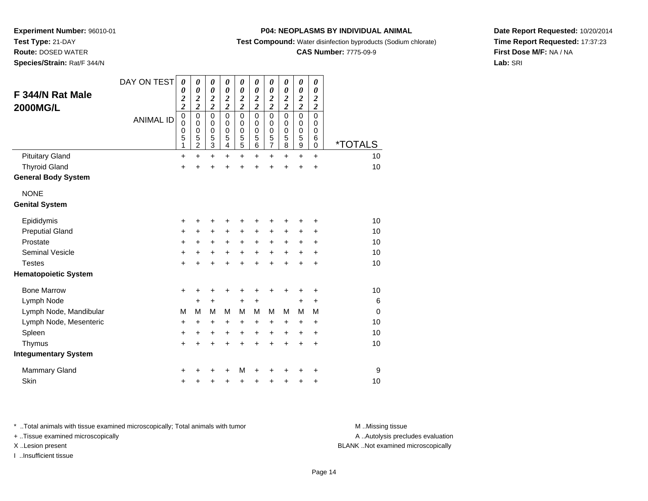**Route:** DOSED WATER

**Species/Strain:** Rat/F 344/N

### **P04: NEOPLASMS BY INDIVIDUAL ANIMAL**

**Test Compound:** Water disinfection byproducts (Sodium chlorate)

### **CAS Number:** 7775-09-9

**Date Report Requested:** 10/20/2014**Time Report Requested:** 17:37:23**First Dose M/F:** NA / NA**Lab:** SRI

| F 344/N Rat Male<br><b>2000MG/L</b> | DAY ON TEST<br><b>ANIMAL ID</b> | $\boldsymbol{\theta}$<br>0<br>$\boldsymbol{2}$<br>$\overline{\mathbf{c}}$<br>$\mathbf 0$<br>0<br>$\boldsymbol{0}$<br>5 | $\boldsymbol{\theta}$<br>$\boldsymbol{\theta}$<br>$\boldsymbol{2}$<br>$\overline{\mathbf{c}}$<br>$\mathbf 0$<br>$\mathbf 0$<br>$\mathbf 0$ | 0<br>$\boldsymbol{\theta}$<br>$\boldsymbol{2}$<br>$\overline{c}$<br>$\mathbf 0$<br>$\mathbf 0$<br>$\mathbf 0$ | 0<br>$\boldsymbol{\theta}$<br>$\boldsymbol{2}$<br>$\overline{2}$<br>$\mathbf 0$<br>$\mathbf 0$<br>$\pmb{0}$<br>5 | $\boldsymbol{\theta}$<br>0<br>$\boldsymbol{2}$<br>$\overline{2}$<br>$\mathbf 0$<br>0<br>$\mathbf 0$ | 0<br>$\boldsymbol{\theta}$<br>$\boldsymbol{2}$<br>$\overline{\mathbf{c}}$<br>0<br>$\mathbf 0$<br>0<br>5 | $\boldsymbol{\theta}$<br>$\boldsymbol{\theta}$<br>$\boldsymbol{2}$<br>$\overline{2}$<br>$\mathbf 0$<br>$\mathbf 0$<br>0 | 0<br>$\boldsymbol{\theta}$<br>$\boldsymbol{2}$<br>$\overline{\mathbf{c}}$<br>$\mathbf 0$<br>$\mathbf 0$<br>0<br>5 | $\boldsymbol{\theta}$<br>$\boldsymbol{\theta}$<br>$\boldsymbol{2}$<br>$\overline{2}$<br>$\mathbf 0$<br>$\mathbf 0$<br>$\mathbf 0$ | 0<br>$\boldsymbol{\theta}$<br>$\boldsymbol{2}$<br>$\overline{\mathbf{c}}$<br>$\mathbf 0$<br>$\mathbf 0$<br>0<br>$\,6$ |          |
|-------------------------------------|---------------------------------|------------------------------------------------------------------------------------------------------------------------|--------------------------------------------------------------------------------------------------------------------------------------------|---------------------------------------------------------------------------------------------------------------|------------------------------------------------------------------------------------------------------------------|-----------------------------------------------------------------------------------------------------|---------------------------------------------------------------------------------------------------------|-------------------------------------------------------------------------------------------------------------------------|-------------------------------------------------------------------------------------------------------------------|-----------------------------------------------------------------------------------------------------------------------------------|-----------------------------------------------------------------------------------------------------------------------|----------|
|                                     |                                 | 1                                                                                                                      | $\frac{5}{2}$                                                                                                                              | $\frac{5}{3}$                                                                                                 | $\overline{4}$                                                                                                   | $\frac{5}{5}$                                                                                       | 6                                                                                                       | $\frac{5}{7}$                                                                                                           | $\overline{8}$                                                                                                    | $\frac{5}{9}$                                                                                                                     | $\pmb{0}$                                                                                                             | *TOTALS  |
| <b>Pituitary Gland</b>              |                                 | +                                                                                                                      | $\ddot{}$                                                                                                                                  | $\ddot{}$                                                                                                     | $\ddot{}$                                                                                                        | $\ddot{}$                                                                                           | $\ddot{}$                                                                                               | $\ddot{}$                                                                                                               | $\ddot{}$                                                                                                         | $\ddot{}$                                                                                                                         | $\ddot{}$                                                                                                             | 10       |
| <b>Thyroid Gland</b>                |                                 | $\ddot{}$                                                                                                              |                                                                                                                                            | Ŧ.                                                                                                            |                                                                                                                  | Ŧ.                                                                                                  | Ŧ.                                                                                                      | $\ddot{}$                                                                                                               | $\ddot{}$                                                                                                         | $\ddot{}$                                                                                                                         | $\ddot{}$                                                                                                             | 10       |
| <b>General Body System</b>          |                                 |                                                                                                                        |                                                                                                                                            |                                                                                                               |                                                                                                                  |                                                                                                     |                                                                                                         |                                                                                                                         |                                                                                                                   |                                                                                                                                   |                                                                                                                       |          |
| <b>NONE</b>                         |                                 |                                                                                                                        |                                                                                                                                            |                                                                                                               |                                                                                                                  |                                                                                                     |                                                                                                         |                                                                                                                         |                                                                                                                   |                                                                                                                                   |                                                                                                                       |          |
| <b>Genital System</b>               |                                 |                                                                                                                        |                                                                                                                                            |                                                                                                               |                                                                                                                  |                                                                                                     |                                                                                                         |                                                                                                                         |                                                                                                                   |                                                                                                                                   |                                                                                                                       |          |
| Epididymis                          |                                 | +                                                                                                                      |                                                                                                                                            | +                                                                                                             | +                                                                                                                | +                                                                                                   | ٠                                                                                                       | +                                                                                                                       |                                                                                                                   |                                                                                                                                   | ٠                                                                                                                     | 10       |
| <b>Preputial Gland</b>              |                                 | +                                                                                                                      | +                                                                                                                                          | $\ddot{}$                                                                                                     | +                                                                                                                | $\ddot{}$                                                                                           | +                                                                                                       | +                                                                                                                       | +                                                                                                                 | +                                                                                                                                 | +                                                                                                                     | 10       |
| Prostate                            |                                 | +                                                                                                                      | $\ddot{}$                                                                                                                                  | $\ddot{}$                                                                                                     | +                                                                                                                | $\ddot{}$                                                                                           | $\ddot{}$                                                                                               | $\ddot{}$                                                                                                               | $\ddot{}$                                                                                                         | $\ddot{}$                                                                                                                         | $\ddot{}$                                                                                                             | 10       |
| <b>Seminal Vesicle</b>              |                                 | $\ddot{}$                                                                                                              | $\ddot{}$                                                                                                                                  | $\ddot{}$                                                                                                     | +                                                                                                                | $\ddot{}$                                                                                           | $\ddot{}$                                                                                               | $\ddot{}$                                                                                                               | $\ddot{}$                                                                                                         | $\ddot{}$                                                                                                                         | $\ddot{}$                                                                                                             | 10       |
| <b>Testes</b>                       |                                 | $\ddot{}$                                                                                                              |                                                                                                                                            |                                                                                                               |                                                                                                                  | $\ddot{}$                                                                                           | $\ddot{}$                                                                                               | $\ddot{}$                                                                                                               | $\ddot{}$                                                                                                         | $\ddot{}$                                                                                                                         | $\ddot{}$                                                                                                             | 10       |
| <b>Hematopoietic System</b>         |                                 |                                                                                                                        |                                                                                                                                            |                                                                                                               |                                                                                                                  |                                                                                                     |                                                                                                         |                                                                                                                         |                                                                                                                   |                                                                                                                                   |                                                                                                                       |          |
| <b>Bone Marrow</b>                  |                                 | $\ddot{}$                                                                                                              |                                                                                                                                            | +                                                                                                             | +                                                                                                                | +                                                                                                   | +                                                                                                       | +                                                                                                                       | +                                                                                                                 | +                                                                                                                                 | +                                                                                                                     | 10       |
| Lymph Node                          |                                 |                                                                                                                        | $\ddot{}$                                                                                                                                  | $\ddot{}$                                                                                                     |                                                                                                                  | +                                                                                                   | $\ddot{}$                                                                                               |                                                                                                                         |                                                                                                                   | $\ddot{}$                                                                                                                         | +                                                                                                                     | 6        |
| Lymph Node, Mandibular              |                                 | M                                                                                                                      | M                                                                                                                                          | M                                                                                                             | м                                                                                                                | M                                                                                                   | М                                                                                                       | M                                                                                                                       | м                                                                                                                 | M                                                                                                                                 | M                                                                                                                     | $\Omega$ |
| Lymph Node, Mesenteric              |                                 | +                                                                                                                      | +                                                                                                                                          | +                                                                                                             | +                                                                                                                | +                                                                                                   | +                                                                                                       | +                                                                                                                       | $\ddot{}$                                                                                                         | $\ddot{}$                                                                                                                         | +                                                                                                                     | 10       |
| Spleen                              |                                 | $\ddot{}$                                                                                                              | +                                                                                                                                          | +                                                                                                             | +                                                                                                                | $\ddot{}$                                                                                           | $\ddot{}$                                                                                               | $\ddot{}$                                                                                                               | $\ddot{}$                                                                                                         | $\ddot{}$                                                                                                                         | $\ddot{}$                                                                                                             | 10       |
| Thymus                              |                                 | $\ddot{}$                                                                                                              | ÷                                                                                                                                          | $\ddot{}$                                                                                                     | $\ddot{}$                                                                                                        | $\ddot{}$                                                                                           | $\ddot{}$                                                                                               | $\ddot{}$                                                                                                               | $\ddot{}$                                                                                                         | $\ddot{}$                                                                                                                         | $\ddot{}$                                                                                                             | 10       |
| <b>Integumentary System</b>         |                                 |                                                                                                                        |                                                                                                                                            |                                                                                                               |                                                                                                                  |                                                                                                     |                                                                                                         |                                                                                                                         |                                                                                                                   |                                                                                                                                   |                                                                                                                       |          |
| <b>Mammary Gland</b>                |                                 | +                                                                                                                      |                                                                                                                                            |                                                                                                               |                                                                                                                  | M                                                                                                   | +                                                                                                       | +                                                                                                                       |                                                                                                                   |                                                                                                                                   | ٠                                                                                                                     | 9        |
| Skin                                |                                 | +                                                                                                                      |                                                                                                                                            | +                                                                                                             | +                                                                                                                | +                                                                                                   | +                                                                                                       | +                                                                                                                       | +                                                                                                                 | +                                                                                                                                 | +                                                                                                                     | 10       |

\* ..Total animals with tissue examined microscopically; Total animals with tumor **M** . Missing tissue M ..Missing tissue

+ ..Tissue examined microscopically

I ..Insufficient tissue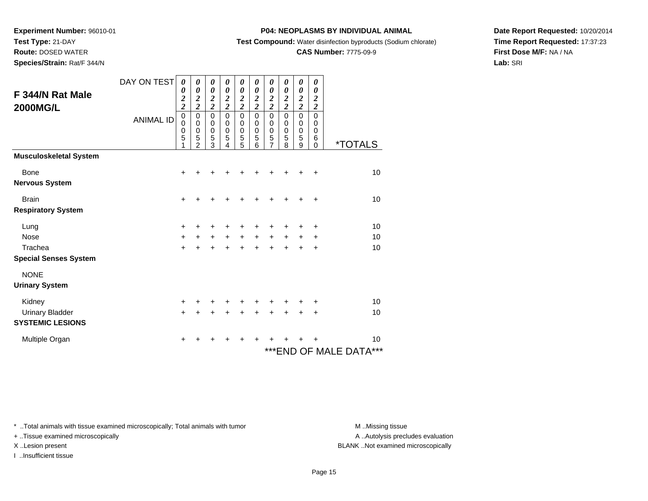**Test Type:** 21-DAY

**Route:** DOSED WATER

**Species/Strain:** Rat/F 344/N

### **P04: NEOPLASMS BY INDIVIDUAL ANIMAL**

**Test Compound:** Water disinfection byproducts (Sodium chlorate)

### **CAS Number:** 7775-09-9

**Date Report Requested:** 10/20/2014**Time Report Requested:** 17:37:23**First Dose M/F:** NA / NA**Lab:** SRI

| F 344/N Rat Male<br><b>2000MG/L</b> | DAY ON TEST<br><b>ANIMAL ID</b> | 0<br>0<br>$\boldsymbol{2}$<br>$\overline{c}$<br>$\mathbf 0$<br>0<br>0<br>5 | 0<br>0<br>$\boldsymbol{2}$<br>$\overline{c}$<br>$\mathbf 0$<br>0<br>0<br>5<br>$\mathfrak{p}$ | $\boldsymbol{\theta}$<br>$\boldsymbol{\theta}$<br>$\overline{\mathbf{c}}$<br>$\overline{c}$<br>$\pmb{0}$<br>$\pmb{0}$<br>$\mathbf 0$<br>5<br>3 | 0<br>0<br>$\overline{\mathbf{c}}$<br>$\overline{2}$<br>$\mathbf 0$<br>$\mathbf 0$<br>$\mathbf 0$<br>5<br>4 | 0<br>0<br>$\overline{\mathbf{c}}$<br>$\overline{2}$<br>$\mathbf 0$<br>0<br>$\pmb{0}$<br>$\overline{5}$<br>5 | 0<br>$\boldsymbol{\theta}$<br>$\boldsymbol{2}$<br>$\overline{2}$<br>0<br>0<br>0<br>5<br>6 | 0<br>0<br>$\overline{\mathbf{c}}$<br>$\overline{\mathbf{c}}$<br>$\mathbf 0$<br>0<br>0<br>5<br>$\overline{7}$ | 0<br>$\boldsymbol{\theta}$<br>$\boldsymbol{2}$<br>$\overline{2}$<br>0<br>0<br>$\mathbf 0$<br>5<br>8 | 0<br>$\boldsymbol{\theta}$<br>$\overline{\mathbf{c}}$<br>$\overline{\mathbf{c}}$<br>$\pmb{0}$<br>0<br>$\boldsymbol{0}$<br>5<br>9 | 0<br>$\boldsymbol{\theta}$<br>$\boldsymbol{2}$<br>$\overline{2}$<br>$\mathbf 0$<br>0<br>0<br>6<br>0 | <i><b>*TOTALS</b></i>            |
|-------------------------------------|---------------------------------|----------------------------------------------------------------------------|----------------------------------------------------------------------------------------------|------------------------------------------------------------------------------------------------------------------------------------------------|------------------------------------------------------------------------------------------------------------|-------------------------------------------------------------------------------------------------------------|-------------------------------------------------------------------------------------------|--------------------------------------------------------------------------------------------------------------|-----------------------------------------------------------------------------------------------------|----------------------------------------------------------------------------------------------------------------------------------|-----------------------------------------------------------------------------------------------------|----------------------------------|
| <b>Musculoskeletal System</b>       |                                 |                                                                            |                                                                                              |                                                                                                                                                |                                                                                                            |                                                                                                             |                                                                                           |                                                                                                              |                                                                                                     |                                                                                                                                  |                                                                                                     |                                  |
| Bone<br><b>Nervous System</b>       |                                 | +                                                                          |                                                                                              |                                                                                                                                                |                                                                                                            |                                                                                                             |                                                                                           |                                                                                                              |                                                                                                     |                                                                                                                                  |                                                                                                     | 10                               |
| <b>Brain</b>                        |                                 | $\ddot{}$                                                                  |                                                                                              |                                                                                                                                                |                                                                                                            |                                                                                                             |                                                                                           |                                                                                                              |                                                                                                     |                                                                                                                                  | $\ddot{}$                                                                                           | 10                               |
| <b>Respiratory System</b>           |                                 |                                                                            |                                                                                              |                                                                                                                                                |                                                                                                            |                                                                                                             |                                                                                           |                                                                                                              |                                                                                                     |                                                                                                                                  |                                                                                                     |                                  |
| Lung                                |                                 | +                                                                          |                                                                                              |                                                                                                                                                |                                                                                                            |                                                                                                             |                                                                                           |                                                                                                              |                                                                                                     |                                                                                                                                  |                                                                                                     | 10                               |
| <b>Nose</b>                         |                                 | $\ddot{}$                                                                  | $\ddot{}$                                                                                    | +                                                                                                                                              | $\ddot{}$                                                                                                  | $\ddot{}$                                                                                                   | $+$                                                                                       | +                                                                                                            | $\ddot{}$                                                                                           |                                                                                                                                  | +                                                                                                   | 10                               |
| Trachea                             |                                 | $+$                                                                        | $\ddot{}$                                                                                    | $\ddot{}$                                                                                                                                      | $\ddot{}$                                                                                                  | $\ddot{}$                                                                                                   | $\ddot{}$                                                                                 | $\ddot{}$                                                                                                    | $\ddot{}$                                                                                           | $\ddot{}$                                                                                                                        | $\ddot{}$                                                                                           | 10                               |
| <b>Special Senses System</b>        |                                 |                                                                            |                                                                                              |                                                                                                                                                |                                                                                                            |                                                                                                             |                                                                                           |                                                                                                              |                                                                                                     |                                                                                                                                  |                                                                                                     |                                  |
| <b>NONE</b>                         |                                 |                                                                            |                                                                                              |                                                                                                                                                |                                                                                                            |                                                                                                             |                                                                                           |                                                                                                              |                                                                                                     |                                                                                                                                  |                                                                                                     |                                  |
| <b>Urinary System</b>               |                                 |                                                                            |                                                                                              |                                                                                                                                                |                                                                                                            |                                                                                                             |                                                                                           |                                                                                                              |                                                                                                     |                                                                                                                                  |                                                                                                     |                                  |
| Kidney                              |                                 | $\ddot{}$                                                                  |                                                                                              |                                                                                                                                                |                                                                                                            |                                                                                                             |                                                                                           |                                                                                                              |                                                                                                     |                                                                                                                                  |                                                                                                     | 10                               |
| <b>Urinary Bladder</b>              |                                 | $\ddot{}$                                                                  | ÷                                                                                            | $\ddot{}$                                                                                                                                      | $\ddot{}$                                                                                                  | $\ddot{}$                                                                                                   | +                                                                                         | +                                                                                                            |                                                                                                     |                                                                                                                                  | +                                                                                                   | 10                               |
| <b>SYSTEMIC LESIONS</b>             |                                 |                                                                            |                                                                                              |                                                                                                                                                |                                                                                                            |                                                                                                             |                                                                                           |                                                                                                              |                                                                                                     |                                                                                                                                  |                                                                                                     |                                  |
| Multiple Organ                      |                                 | +                                                                          |                                                                                              | +                                                                                                                                              |                                                                                                            | +                                                                                                           | +                                                                                         | +                                                                                                            |                                                                                                     |                                                                                                                                  |                                                                                                     | 10<br>***<br>***END OF MALE DATA |

\* ..Total animals with tissue examined microscopically; Total animals with tumor **M** . Missing tissue M ..Missing tissue

+ ..Tissue examined microscopically

I ..Insufficient tissue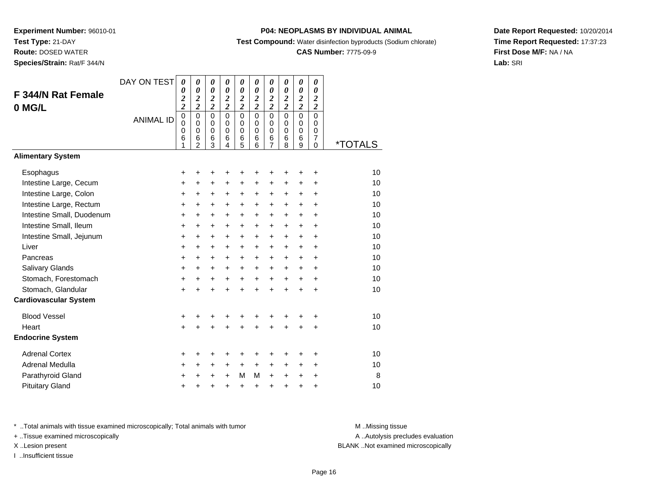**Route:** DOSED WATER

**Species/Strain:** Rat/F 344/N

### **P04: NEOPLASMS BY INDIVIDUAL ANIMAL**

**Test Compound:** Water disinfection byproducts (Sodium chlorate)

### **CAS Number:** 7775-09-9

**Date Report Requested:** 10/20/2014**Time Report Requested:** 17:37:23**First Dose M/F:** NA / NA**Lab:** SRI

| <b>F 344/N Rat Female</b><br>0 MG/L | DAY ON TEST      | $\boldsymbol{\theta}$<br>0<br>$\boldsymbol{z}$<br>$\overline{\mathbf{c}}$ | $\boldsymbol{\theta}$<br>$\boldsymbol{\theta}$<br>$\boldsymbol{2}$<br>$\overline{2}$ | $\pmb{\theta}$<br>$\boldsymbol{\theta}$<br>$\frac{2}{2}$ | $\boldsymbol{\theta}$<br>$\pmb{\theta}$<br>$\frac{2}{2}$ | 0<br>0<br>$\frac{2}{2}$                   | 0<br>$\pmb{\theta}$<br>$\boldsymbol{2}$<br>$\overline{2}$ | $\pmb{\theta}$<br>$\boldsymbol{\theta}$<br>$\boldsymbol{2}$<br>$\overline{\mathbf{c}}$ | 0<br>$\pmb{\theta}$<br>$\frac{2}{2}$             | $\pmb{\theta}$<br>$\boldsymbol{\theta}$<br>$\frac{2}{2}$ | 0<br>$\pmb{\theta}$<br>$\boldsymbol{2}$<br>$\overline{2}$ |                       |
|-------------------------------------|------------------|---------------------------------------------------------------------------|--------------------------------------------------------------------------------------|----------------------------------------------------------|----------------------------------------------------------|-------------------------------------------|-----------------------------------------------------------|----------------------------------------------------------------------------------------|--------------------------------------------------|----------------------------------------------------------|-----------------------------------------------------------|-----------------------|
|                                     | <b>ANIMAL ID</b> | $\mathbf 0$<br>$\mathbf 0$<br>$\mathbf 0$<br>6<br>1                       | $\mathbf 0$<br>$\mathbf 0$<br>$\mathbf 0$<br>6<br>$\overline{2}$                     | $\mathbf 0$<br>$\mathbf 0$<br>0<br>6<br>3                | $\mathbf 0$<br>$\mathbf 0$<br>$\mathbf 0$<br>6<br>4      | $\mathbf 0$<br>$\mathbf 0$<br>0<br>6<br>5 | $\Omega$<br>$\Omega$<br>$\mathbf 0$<br>6<br>6             | $\mathbf 0$<br>$\mathbf 0$<br>0<br>6<br>7                                              | $\Omega$<br>$\mathbf 0$<br>$\mathbf 0$<br>6<br>8 | $\mathbf 0$<br>0<br>$\mathbf 0$<br>6<br>9                | $\mathbf 0$<br>$\mathbf 0$<br>$\mathbf 0$<br>7<br>0       | <i><b>*TOTALS</b></i> |
| <b>Alimentary System</b>            |                  |                                                                           |                                                                                      |                                                          |                                                          |                                           |                                                           |                                                                                        |                                                  |                                                          |                                                           |                       |
| Esophagus                           |                  | +                                                                         | +                                                                                    | +                                                        |                                                          | +                                         | +                                                         | +                                                                                      |                                                  | +                                                        | ٠                                                         | 10                    |
| Intestine Large, Cecum              |                  | $\ddot{}$                                                                 | $\ddot{}$                                                                            | $\ddot{}$                                                | $\ddot{}$                                                | +                                         | +                                                         | +                                                                                      | $\ddot{}$                                        | +                                                        | +                                                         | 10                    |
| Intestine Large, Colon              |                  | $\ddot{}$                                                                 | $\ddot{}$                                                                            | $\ddot{}$                                                | $\ddot{}$                                                | $\ddot{}$                                 | $\ddot{}$                                                 | $\ddot{}$                                                                              | $\ddot{}$                                        | $\ddot{}$                                                | $\ddot{}$                                                 | 10                    |
| Intestine Large, Rectum             |                  | +                                                                         | +                                                                                    | $\ddot{}$                                                | +                                                        | +                                         | +                                                         | +                                                                                      | $\ddot{}$                                        | $\ddot{}$                                                | +                                                         | 10                    |
| Intestine Small, Duodenum           |                  | $\ddot{}$                                                                 | $\ddot{}$                                                                            | $\ddot{}$                                                | $\ddot{}$                                                | $\ddot{}$                                 | $\ddot{}$                                                 | $\ddot{}$                                                                              | $\ddot{}$                                        | $\ddot{}$                                                | $\ddot{}$                                                 | 10                    |
| Intestine Small, Ileum              |                  | $\ddot{}$                                                                 | $\ddot{}$                                                                            | $\ddot{}$                                                | $\ddot{}$                                                | $\ddot{}$                                 | $\ddot{}$                                                 | $\ddot{}$                                                                              | $\ddot{}$                                        | $\ddot{}$                                                | $\ddot{}$                                                 | 10                    |
| Intestine Small, Jejunum            |                  | $\ddot{}$                                                                 | $\ddot{}$                                                                            | $\ddot{}$                                                | $\ddot{}$                                                | $\ddot{}$                                 | $\ddot{}$                                                 | $\ddot{}$                                                                              | $+$                                              | $\ddot{}$                                                | $\ddot{}$                                                 | 10                    |
| Liver                               |                  | +                                                                         | $\ddot{}$                                                                            | $\ddot{}$                                                | $\ddot{}$                                                | $\ddot{}$                                 | $\ddot{}$                                                 | $\ddot{}$                                                                              | $\ddot{}$                                        | $\ddot{}$                                                | $\ddot{}$                                                 | 10                    |
| Pancreas                            |                  | +                                                                         | +                                                                                    | +                                                        | +                                                        | +                                         | +                                                         | +                                                                                      | $\ddot{}$                                        | +                                                        | $\ddot{}$                                                 | 10                    |
| Salivary Glands                     |                  | +                                                                         | $\ddot{}$                                                                            | $\ddot{}$                                                | $+$                                                      | $\ddot{}$                                 | $\ddot{}$                                                 | $\ddot{}$                                                                              | $\ddot{}$                                        | $\ddot{}$                                                | $\ddot{}$                                                 | 10                    |
| Stomach, Forestomach                |                  | $\ddot{}$                                                                 | $\ddot{}$                                                                            | $\ddot{}$                                                | $\ddot{}$                                                | $\ddot{}$                                 | $+$                                                       | $+$                                                                                    | $+$                                              | $+$                                                      | $+$                                                       | 10                    |
| Stomach, Glandular                  |                  | $\ddot{}$                                                                 |                                                                                      | $\ddot{}$                                                |                                                          | $\ddot{}$                                 | $\ddot{}$                                                 | $\ddot{}$                                                                              | $\ddot{}$                                        | $\ddot{}$                                                | $\ddot{}$                                                 | 10                    |
| <b>Cardiovascular System</b>        |                  |                                                                           |                                                                                      |                                                          |                                                          |                                           |                                                           |                                                                                        |                                                  |                                                          |                                                           |                       |
| <b>Blood Vessel</b>                 |                  | +                                                                         | +                                                                                    | +                                                        | +                                                        | +                                         | +                                                         | +                                                                                      | ٠                                                | ٠                                                        | ÷                                                         | 10                    |
| Heart                               |                  | $\ddot{}$                                                                 |                                                                                      |                                                          |                                                          | Ŧ.                                        | Ŧ.                                                        | $\ddot{}$                                                                              | $\ddot{}$                                        | +                                                        | $\ddot{}$                                                 | 10                    |
| <b>Endocrine System</b>             |                  |                                                                           |                                                                                      |                                                          |                                                          |                                           |                                                           |                                                                                        |                                                  |                                                          |                                                           |                       |
| <b>Adrenal Cortex</b>               |                  | +                                                                         | +                                                                                    | +                                                        | +                                                        | +                                         | +                                                         | +                                                                                      |                                                  | +                                                        | +                                                         | 10                    |
| Adrenal Medulla                     |                  | +                                                                         | +                                                                                    | +                                                        | $\ddot{}$                                                | $\ddot{}$                                 | $\ddot{}$                                                 | +                                                                                      | $\ddot{}$                                        | +                                                        | +                                                         | 10                    |
| Parathyroid Gland                   |                  | +                                                                         | +                                                                                    | +                                                        | $\ddot{}$                                                | M                                         | М                                                         | $\ddot{}$                                                                              | $\ddot{}$                                        | +                                                        | +                                                         | 8                     |
| <b>Pituitary Gland</b>              |                  | $\ddot{}$                                                                 | +                                                                                    | +                                                        | $\ddot{}$                                                | +                                         | $\ddot{}$                                                 | +                                                                                      | $\ddot{}$                                        | +                                                        | +                                                         | 10                    |

\* ..Total animals with tissue examined microscopically; Total animals with tumor **M** . Missing tissue M ..Missing tissue

+ ..Tissue examined microscopically

I ..Insufficient tissue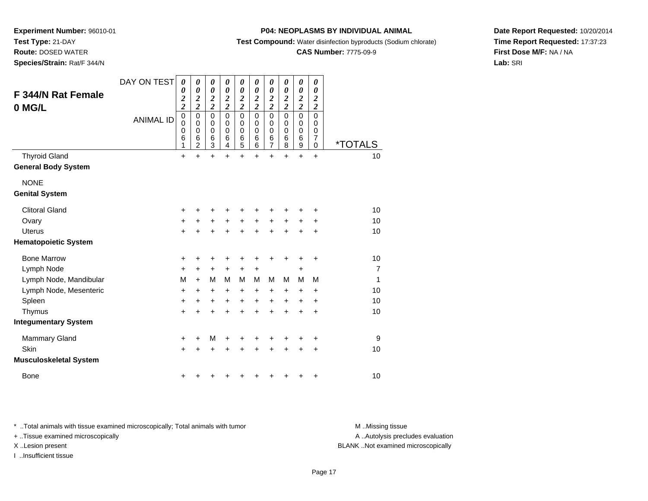**Test Type:** 21-DAY

 **Route:** DOSED WATER**Species/Strain:** Rat/F 344/N

### **P04: NEOPLASMS BY INDIVIDUAL ANIMAL**

**Test Compound:** Water disinfection byproducts (Sodium chlorate)

### **CAS Number:** 7775-09-9

**Date Report Requested:** 10/20/2014**Time Report Requested:** 17:37:23**First Dose M/F:** NA / NA**Lab:** SRI

| F 344/N Rat Female            | DAY ON TEST      | 0<br>0                                             | 0<br>$\boldsymbol{\theta}$                 | 0<br>0                                             | 0<br>$\boldsymbol{\theta}$             | 0<br>$\boldsymbol{\theta}$                | 0<br>0                                    | 0<br>0                                    | 0<br>0                                    | 0<br>0                                             | 0<br>0                                      |                |
|-------------------------------|------------------|----------------------------------------------------|--------------------------------------------|----------------------------------------------------|----------------------------------------|-------------------------------------------|-------------------------------------------|-------------------------------------------|-------------------------------------------|----------------------------------------------------|---------------------------------------------|----------------|
| 0 MG/L                        |                  | $\overline{\mathbf{c}}$<br>$\overline{\mathbf{c}}$ | $\boldsymbol{2}$<br>$\overline{2}$         | $\overline{\mathbf{c}}$<br>$\overline{\mathbf{c}}$ | $\boldsymbol{2}$<br>$\overline{2}$     | $\overline{\mathbf{c}}$<br>$\overline{c}$ | $\overline{\mathbf{c}}$<br>$\overline{2}$ | $\overline{\mathbf{c}}$<br>$\overline{c}$ | $\overline{\mathbf{c}}$<br>$\overline{2}$ | $\overline{\mathbf{c}}$<br>$\overline{\mathbf{c}}$ | $\overline{\mathbf{c}}$<br>$\boldsymbol{2}$ |                |
|                               | <b>ANIMAL ID</b> | $\mathbf 0$<br>0<br>0<br>6<br>1                    | $\pmb{0}$<br>0<br>0<br>6<br>$\overline{2}$ | $\mathbf 0$<br>0<br>0<br>6<br>3                    | $\mathbf 0$<br>$\Omega$<br>0<br>6<br>4 | $\mathbf 0$<br>0<br>0<br>6<br>5           | $\mathbf 0$<br>0<br>0<br>6<br>6           | $\mathbf 0$<br>0<br>0<br>$\frac{6}{7}$    | 0<br>0<br>0<br>6<br>8                     | $\mathbf 0$<br>0<br>0<br>6<br>$\boldsymbol{9}$     | 0<br>0<br>0<br>7<br>0                       | *TOTALS        |
| <b>Thyroid Gland</b>          |                  | $\ddot{}$                                          | $\ddot{}$                                  | $\ddot{}$                                          | $\ddot{}$                              | $\ddot{}$                                 | $\ddot{}$                                 | $\ddot{}$                                 | $\ddot{}$                                 | $\ddot{}$                                          | $\ddot{}$                                   | 10             |
| <b>General Body System</b>    |                  |                                                    |                                            |                                                    |                                        |                                           |                                           |                                           |                                           |                                                    |                                             |                |
| <b>NONE</b>                   |                  |                                                    |                                            |                                                    |                                        |                                           |                                           |                                           |                                           |                                                    |                                             |                |
| <b>Genital System</b>         |                  |                                                    |                                            |                                                    |                                        |                                           |                                           |                                           |                                           |                                                    |                                             |                |
| <b>Clitoral Gland</b>         |                  | +                                                  | +                                          | +                                                  | +                                      | +                                         |                                           |                                           |                                           | ┿                                                  | +                                           | 10             |
| Ovary                         |                  | $\ddot{}$                                          | +                                          | +                                                  | +                                      | +                                         | $\pm$                                     | +                                         | $\pm$                                     | +                                                  | +                                           | 10             |
| <b>Uterus</b>                 |                  | $\ddot{}$                                          |                                            | $\ddot{}$                                          | $\ddot{}$                              | $\ddot{}$                                 | $\ddot{}$                                 | $\ddot{}$                                 | $\ddot{}$                                 | $\ddot{}$                                          | $\ddot{}$                                   | 10             |
| <b>Hematopoietic System</b>   |                  |                                                    |                                            |                                                    |                                        |                                           |                                           |                                           |                                           |                                                    |                                             |                |
| <b>Bone Marrow</b>            |                  | +                                                  | ٠                                          | +                                                  | +                                      | +                                         | +                                         | +                                         | +                                         | +                                                  | +                                           | 10             |
| Lymph Node                    |                  | +                                                  | $\ddot{}$                                  | +                                                  | +                                      | +                                         | +                                         |                                           |                                           | $\ddot{}$                                          |                                             | $\overline{7}$ |
| Lymph Node, Mandibular        |                  | M                                                  | $\ddot{}$                                  | M                                                  | м                                      | M                                         | M                                         | M                                         | М                                         | M                                                  | M                                           | 1              |
| Lymph Node, Mesenteric        |                  | +                                                  | +                                          | +                                                  | +                                      | +                                         | +                                         | +                                         | +                                         | +                                                  | +                                           | 10             |
| Spleen                        |                  | +                                                  | $\ddot{}$                                  | +                                                  | $\ddot{}$                              | $\ddot{}$                                 | $\ddot{}$                                 | $\ddot{}$                                 | $\ddot{}$                                 | $\ddot{}$                                          | +                                           | 10             |
| Thymus                        |                  | $\ddot{}$                                          | $\ddot{}$                                  | $\ddot{}$                                          | $\ddot{}$                              | $\ddot{}$                                 | $\ddot{}$                                 | $\ddot{}$                                 | $\ddot{}$                                 | $\ddot{}$                                          | $\ddot{}$                                   | 10             |
| <b>Integumentary System</b>   |                  |                                                    |                                            |                                                    |                                        |                                           |                                           |                                           |                                           |                                                    |                                             |                |
| Mammary Gland                 |                  | +                                                  | +                                          | M                                                  | +                                      | +                                         |                                           |                                           |                                           |                                                    | +                                           | 9              |
| Skin                          |                  | $\ddot{}$                                          | +                                          | $\ddot{}$                                          | +                                      | +                                         | +                                         | +                                         | +                                         | +                                                  | +                                           | 10             |
| <b>Musculoskeletal System</b> |                  |                                                    |                                            |                                                    |                                        |                                           |                                           |                                           |                                           |                                                    |                                             |                |
| <b>Bone</b>                   |                  | +                                                  | ٠                                          | +                                                  | ٠                                      | +                                         | +                                         | +                                         | +                                         | +                                                  | +                                           | 10             |

\* ..Total animals with tissue examined microscopically; Total animals with tumor **M** . Missing tissue M ..Missing tissue

+ ..Tissue examined microscopically

I ..Insufficient tissue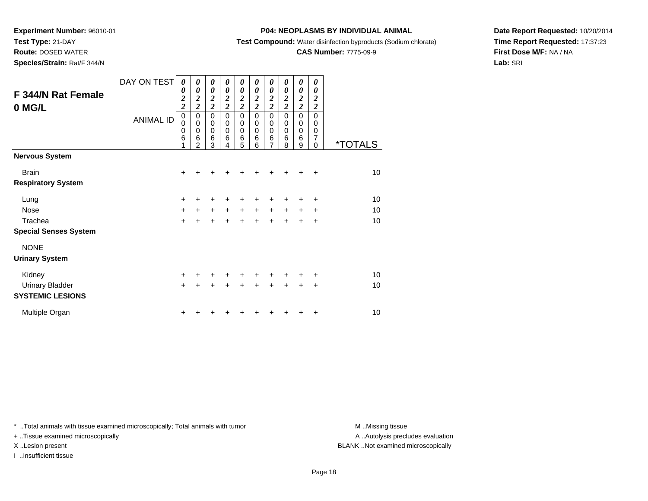# **Test Type:** 21-DAY

**Route:** DOSED WATER

**Species/Strain:** Rat/F 344/N

### **P04: NEOPLASMS BY INDIVIDUAL ANIMAL**

**Test Compound:** Water disinfection byproducts (Sodium chlorate)

# **CAS Number:** 7775-09-9

**Date Report Requested:** 10/20/2014**Time Report Requested:** 17:37:23**First Dose M/F:** NA / NA**Lab:** SRI

| F 344/N Rat Female<br>0 MG/L | DAY ON TEST<br><b>ANIMAL ID</b> | 0<br>0<br>$\frac{2}{2}$<br>$\pmb{0}$<br>0<br>0<br>6<br>1 | $\boldsymbol{\theta}$<br>$\boldsymbol{\theta}$<br>$\frac{2}{2}$<br>$\pmb{0}$<br>$\mathbf 0$<br>$\mathbf 0$<br>6<br>$\overline{2}$ | 0<br>$\boldsymbol{\theta}$<br>$\frac{2}{2}$<br>$\mathbf 0$<br>$\mathbf 0$<br>$\mathbf 0$<br>6<br>3 | 0<br>$\boldsymbol{\theta}$<br>$\boldsymbol{2}$<br>$\overline{\mathbf{c}}$<br>$\mathbf 0$<br>$\mathbf 0$<br>$\mathbf 0$<br>6<br>4 | 0<br>0<br>$\frac{2}{2}$<br>$\mathbf 0$<br>$\mathbf 0$<br>$\mathbf 0$<br>$\,6$<br>5 | 0<br>0<br>$\boldsymbol{2}$<br>$\overline{\mathbf{c}}$<br>$\pmb{0}$<br>$\mathbf 0$<br>$\mathbf 0$<br>6<br>6 | 0<br>0<br>$\frac{2}{2}$<br>$\mathbf 0$<br>0<br>$\mathbf 0$<br>6<br>$\overline{7}$ | 0<br>0<br>$\boldsymbol{2}$<br>$\overline{c}$<br>$\mathbf 0$<br>0<br>0<br>6<br>8 | 0<br>0<br>$\frac{2}{2}$<br>0<br>$\mathbf 0$<br>0<br>6<br>9 | 0<br>0<br>2<br>$\boldsymbol{2}$<br>$\Omega$<br>$\Omega$<br>0<br>7<br>$\Omega$ | <i><b>*TOTALS</b></i> |
|------------------------------|---------------------------------|----------------------------------------------------------|-----------------------------------------------------------------------------------------------------------------------------------|----------------------------------------------------------------------------------------------------|----------------------------------------------------------------------------------------------------------------------------------|------------------------------------------------------------------------------------|------------------------------------------------------------------------------------------------------------|-----------------------------------------------------------------------------------|---------------------------------------------------------------------------------|------------------------------------------------------------|-------------------------------------------------------------------------------|-----------------------|
| <b>Nervous System</b>        |                                 |                                                          |                                                                                                                                   |                                                                                                    |                                                                                                                                  |                                                                                    |                                                                                                            |                                                                                   |                                                                                 |                                                            |                                                                               |                       |
| <b>Brain</b>                 |                                 | $\ddot{}$                                                | +                                                                                                                                 | ٠                                                                                                  |                                                                                                                                  |                                                                                    |                                                                                                            | ٠                                                                                 | ÷                                                                               | ٠                                                          | ÷                                                                             | 10                    |
| <b>Respiratory System</b>    |                                 |                                                          |                                                                                                                                   |                                                                                                    |                                                                                                                                  |                                                                                    |                                                                                                            |                                                                                   |                                                                                 |                                                            |                                                                               |                       |
| Lung                         |                                 | $\ddot{}$                                                | ٠                                                                                                                                 | ٠                                                                                                  |                                                                                                                                  |                                                                                    |                                                                                                            |                                                                                   |                                                                                 | +                                                          | ÷                                                                             | 10                    |
| <b>Nose</b>                  |                                 | +                                                        | $\ddot{}$                                                                                                                         | $\ddot{}$                                                                                          | $+$                                                                                                                              | $\ddot{}$                                                                          | $\ddot{}$                                                                                                  | $\ddot{}$                                                                         | $\ddot{}$                                                                       | $\ddot{}$                                                  | +                                                                             | 10                    |
| Trachea                      |                                 | $\ddot{}$                                                |                                                                                                                                   | $\ddot{}$                                                                                          |                                                                                                                                  | $\ddot{}$                                                                          | $\ddot{}$                                                                                                  | $\ddot{}$                                                                         | $\ddot{}$                                                                       | $\ddot{}$                                                  | $\ddot{}$                                                                     | 10                    |
| <b>Special Senses System</b> |                                 |                                                          |                                                                                                                                   |                                                                                                    |                                                                                                                                  |                                                                                    |                                                                                                            |                                                                                   |                                                                                 |                                                            |                                                                               |                       |
| <b>NONE</b>                  |                                 |                                                          |                                                                                                                                   |                                                                                                    |                                                                                                                                  |                                                                                    |                                                                                                            |                                                                                   |                                                                                 |                                                            |                                                                               |                       |
| <b>Urinary System</b>        |                                 |                                                          |                                                                                                                                   |                                                                                                    |                                                                                                                                  |                                                                                    |                                                                                                            |                                                                                   |                                                                                 |                                                            |                                                                               |                       |
| Kidney                       |                                 | +                                                        | +                                                                                                                                 | +                                                                                                  | ÷                                                                                                                                | $\ddot{}$                                                                          | ÷                                                                                                          | ٠                                                                                 | ٠                                                                               | ٠                                                          | ÷                                                                             | 10                    |
| <b>Urinary Bladder</b>       |                                 | $\ddot{}$                                                | $\ddot{}$                                                                                                                         |                                                                                                    |                                                                                                                                  |                                                                                    |                                                                                                            |                                                                                   | ÷                                                                               | $\ddot{}$                                                  | $\ddot{}$                                                                     | 10                    |
| <b>SYSTEMIC LESIONS</b>      |                                 |                                                          |                                                                                                                                   |                                                                                                    |                                                                                                                                  |                                                                                    |                                                                                                            |                                                                                   |                                                                                 |                                                            |                                                                               |                       |
| Multiple Organ               |                                 | +                                                        |                                                                                                                                   |                                                                                                    |                                                                                                                                  |                                                                                    |                                                                                                            |                                                                                   |                                                                                 | +                                                          | ÷                                                                             | 10                    |

\* ..Total animals with tissue examined microscopically; Total animals with tumor **M** . Missing tissue M ..Missing tissue

+ ..Tissue examined microscopically

I ..Insufficient tissue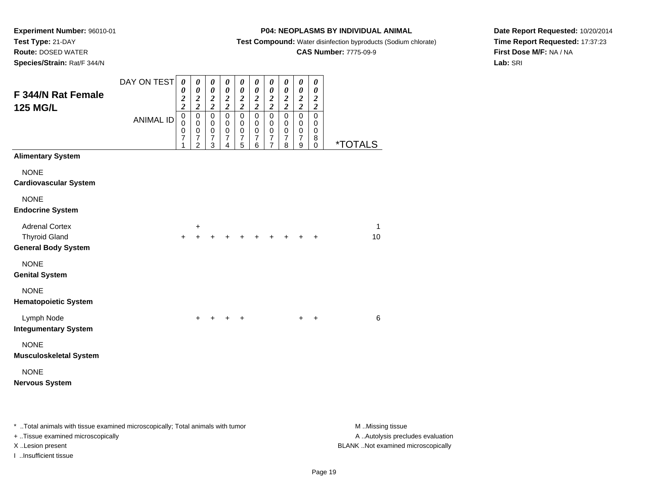# **Route:** DOSED WATER

**Species/Strain:** Rat/F 344/N

### **P04: NEOPLASMS BY INDIVIDUAL ANIMAL**

**Test Compound:** Water disinfection byproducts (Sodium chlorate)

# **CAS Number:** 7775-09-9

**Date Report Requested:** 10/20/2014**Time Report Requested:** 17:37:23**First Dose M/F:** NA / NA**Lab:** SRI

| F 344/N Rat Female<br><b>125 MG/L</b>                                       | DAY ON TEST<br><b>ANIMAL ID</b> | $\boldsymbol{\theta}$<br>$\boldsymbol{\theta}$<br>$\frac{2}{2}$<br>$\pmb{0}$<br>$\pmb{0}$<br>0<br>$\overline{7}$ | 0<br>$\boldsymbol{\theta}$<br>$\boldsymbol{2}$<br>$\overline{2}$<br>$\mathbf 0$<br>$\pmb{0}$<br>$\mbox{O}$<br>$\overline{\mathcal{I}}$ | 0<br>$\pmb{\theta}$<br>$\frac{2}{2}$<br>$\mathbf 0$<br>$\mathbf 0$<br>$\pmb{0}$<br>$\boldsymbol{7}$ | 0<br>$\boldsymbol{\theta}$<br>$\boldsymbol{2}$<br>$\overline{\mathbf{c}}$<br>$\mathbf 0$<br>$\mathbf 0$<br>$\mathbf 0$<br>$\boldsymbol{7}$ | 0<br>$\pmb{\theta}$<br>$\frac{2}{2}$<br>$\mathbf 0$<br>0<br>$\mathbf 0$<br>$\overline{7}$ | 0<br>$\pmb{\theta}$<br>$\boldsymbol{2}$<br>$\overline{c}$<br>0<br>$\mathbf 0$<br>0<br>$\overline{7}$ | $\boldsymbol{\theta}$<br>$\boldsymbol{\theta}$<br>$\boldsymbol{2}$<br>$\overline{\mathbf{c}}$<br>$\mathbf 0$<br>$\mathbf 0$<br>$\pmb{0}$<br>$\overline{7}$ | 0<br>$\boldsymbol{\theta}$<br>$\boldsymbol{2}$<br>$\overline{\mathbf{c}}$<br>$\mathbf 0$<br>$\mathbf 0$<br>$\pmb{0}$<br>$\overline{7}$ | 0<br>$\boldsymbol{\theta}$<br>$\frac{2}{2}$<br>$\pmb{0}$<br>$\mathbf 0$<br>$\pmb{0}$<br>$\overline{7}$ | 0<br>$\boldsymbol{\theta}$<br>$\boldsymbol{2}$<br>$\overline{2}$<br>$\pmb{0}$<br>0<br>$\pmb{0}$<br>8 |                       |
|-----------------------------------------------------------------------------|---------------------------------|------------------------------------------------------------------------------------------------------------------|----------------------------------------------------------------------------------------------------------------------------------------|-----------------------------------------------------------------------------------------------------|--------------------------------------------------------------------------------------------------------------------------------------------|-------------------------------------------------------------------------------------------|------------------------------------------------------------------------------------------------------|------------------------------------------------------------------------------------------------------------------------------------------------------------|----------------------------------------------------------------------------------------------------------------------------------------|--------------------------------------------------------------------------------------------------------|------------------------------------------------------------------------------------------------------|-----------------------|
| <b>Alimentary System</b>                                                    |                                 | 1                                                                                                                | $\overline{2}$                                                                                                                         | 3                                                                                                   | 4                                                                                                                                          | 5                                                                                         | 6                                                                                                    | $\overline{7}$                                                                                                                                             | 8                                                                                                                                      | 9                                                                                                      | $\mathbf 0$                                                                                          | <i><b>*TOTALS</b></i> |
| <b>NONE</b><br><b>Cardiovascular System</b>                                 |                                 |                                                                                                                  |                                                                                                                                        |                                                                                                     |                                                                                                                                            |                                                                                           |                                                                                                      |                                                                                                                                                            |                                                                                                                                        |                                                                                                        |                                                                                                      |                       |
| <b>NONE</b><br><b>Endocrine System</b>                                      |                                 |                                                                                                                  |                                                                                                                                        |                                                                                                     |                                                                                                                                            |                                                                                           |                                                                                                      |                                                                                                                                                            |                                                                                                                                        |                                                                                                        |                                                                                                      |                       |
| <b>Adrenal Cortex</b><br><b>Thyroid Gland</b><br><b>General Body System</b> |                                 | $+$                                                                                                              | +<br>$\ddot{}$                                                                                                                         |                                                                                                     | $\ddot{}$                                                                                                                                  | $+$                                                                                       | $+$                                                                                                  |                                                                                                                                                            |                                                                                                                                        |                                                                                                        | $\ddot{}$                                                                                            | 1<br>10               |
| <b>NONE</b><br><b>Genital System</b>                                        |                                 |                                                                                                                  |                                                                                                                                        |                                                                                                     |                                                                                                                                            |                                                                                           |                                                                                                      |                                                                                                                                                            |                                                                                                                                        |                                                                                                        |                                                                                                      |                       |
| <b>NONE</b><br><b>Hematopoietic System</b>                                  |                                 |                                                                                                                  |                                                                                                                                        |                                                                                                     |                                                                                                                                            |                                                                                           |                                                                                                      |                                                                                                                                                            |                                                                                                                                        |                                                                                                        |                                                                                                      |                       |
| Lymph Node<br><b>Integumentary System</b>                                   |                                 |                                                                                                                  | +                                                                                                                                      |                                                                                                     | $\ddot{}$                                                                                                                                  | $\ddot{}$                                                                                 |                                                                                                      |                                                                                                                                                            |                                                                                                                                        | $\ddot{}$                                                                                              | +                                                                                                    | 6                     |
| <b>NONE</b><br><b>Musculoskeletal System</b>                                |                                 |                                                                                                                  |                                                                                                                                        |                                                                                                     |                                                                                                                                            |                                                                                           |                                                                                                      |                                                                                                                                                            |                                                                                                                                        |                                                                                                        |                                                                                                      |                       |
| <b>NONE</b><br><b>Nervous System</b>                                        |                                 |                                                                                                                  |                                                                                                                                        |                                                                                                     |                                                                                                                                            |                                                                                           |                                                                                                      |                                                                                                                                                            |                                                                                                                                        |                                                                                                        |                                                                                                      |                       |

\* ..Total animals with tissue examined microscopically; Total animals with tumor **M** . Missing tissue M ..Missing tissue

+ ..Tissue examined microscopically

I ..Insufficient tissue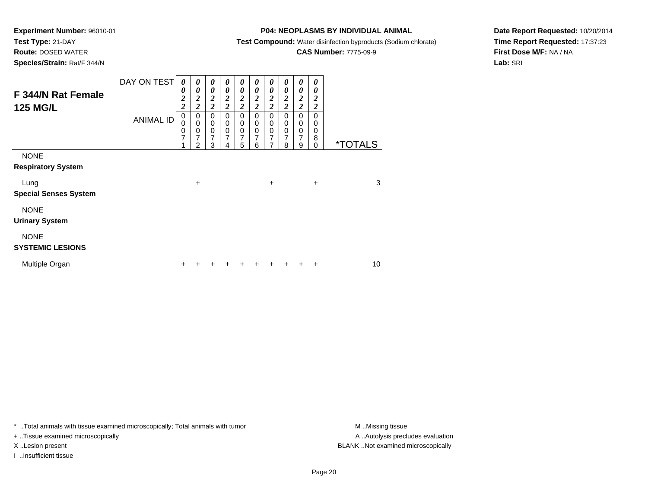# **Test Type:** 21-DAY

**Route:** DOSED WATER

**Species/Strain:** Rat/F 344/N

# **P04: NEOPLASMS BY INDIVIDUAL ANIMAL**

**Test Compound:** Water disinfection byproducts (Sodium chlorate)

# **CAS Number:** 7775-09-9

**Date Report Requested:** 10/20/2014**Time Report Requested:** 17:37:23**First Dose M/F:** NA / NA**Lab:** SRI

| F 344/N Rat Female<br><b>125 MG/L</b>    | DAY ON TEST<br><b>ANIMAL ID</b> | 0<br>0<br>$\overline{c}$<br>$\overline{\mathbf{c}}$<br>$\pmb{0}$<br>0<br>0 | $\boldsymbol{\theta}$<br>0<br>$\overline{\mathbf{c}}$<br>$\overline{2}$<br>0<br>$\mathbf 0$<br>0 | $\boldsymbol{\theta}$<br>$\boldsymbol{\theta}$<br>$\boldsymbol{2}$<br>$\overline{2}$<br>$\mathbf 0$<br>$\mathbf 0$<br>$\boldsymbol{0}$ | $\boldsymbol{\theta}$<br>0<br>$\boldsymbol{2}$<br>$\overline{c}$<br>0<br>$\mathbf 0$<br>$\pmb{0}$ | 0<br>0<br>$\boldsymbol{2}$<br>$\overline{2}$<br>0<br>$\mathbf 0$<br>$\pmb{0}$ | $\boldsymbol{\theta}$<br>$\boldsymbol{\theta}$<br>2<br>$\overline{2}$<br>0<br>0<br>$\mathbf 0$ | $\boldsymbol{\theta}$<br>0<br>$\boldsymbol{2}$<br>$\overline{2}$<br>0<br>$\mathbf 0$<br>$\pmb{0}$ | $\boldsymbol{\theta}$<br>0<br>$\boldsymbol{2}$<br>$\overline{2}$<br>0<br>0<br>0 | 0<br>0<br>$\boldsymbol{2}$<br>$\overline{2}$<br>$\mathbf 0$<br>0<br>$\mathbf 0$ | 0<br>0<br>2<br>$\overline{c}$<br>0<br>0<br>0 |                       |
|------------------------------------------|---------------------------------|----------------------------------------------------------------------------|--------------------------------------------------------------------------------------------------|----------------------------------------------------------------------------------------------------------------------------------------|---------------------------------------------------------------------------------------------------|-------------------------------------------------------------------------------|------------------------------------------------------------------------------------------------|---------------------------------------------------------------------------------------------------|---------------------------------------------------------------------------------|---------------------------------------------------------------------------------|----------------------------------------------|-----------------------|
|                                          |                                 | 7                                                                          | 7<br>2                                                                                           | $\overline{7}$<br>3                                                                                                                    | $\overline{7}$<br>4                                                                               | 7<br>5                                                                        | 7<br>6                                                                                         | $\overline{7}$<br>7                                                                               | $\overline{7}$<br>8                                                             | $\overline{7}$<br>9                                                             | 8<br>0                                       | <i><b>*TOTALS</b></i> |
| <b>NONE</b><br><b>Respiratory System</b> |                                 |                                                                            |                                                                                                  |                                                                                                                                        |                                                                                                   |                                                                               |                                                                                                |                                                                                                   |                                                                                 |                                                                                 |                                              |                       |
| Lung<br><b>Special Senses System</b>     |                                 |                                                                            | $\ddot{}$                                                                                        |                                                                                                                                        |                                                                                                   |                                                                               |                                                                                                | $\ddot{}$                                                                                         |                                                                                 |                                                                                 | $\ddot{}$                                    | 3                     |
| <b>NONE</b><br><b>Urinary System</b>     |                                 |                                                                            |                                                                                                  |                                                                                                                                        |                                                                                                   |                                                                               |                                                                                                |                                                                                                   |                                                                                 |                                                                                 |                                              |                       |
| <b>NONE</b><br><b>SYSTEMIC LESIONS</b>   |                                 |                                                                            |                                                                                                  |                                                                                                                                        |                                                                                                   |                                                                               |                                                                                                |                                                                                                   |                                                                                 |                                                                                 |                                              |                       |
| Multiple Organ                           |                                 | +                                                                          |                                                                                                  |                                                                                                                                        |                                                                                                   | ٠                                                                             |                                                                                                |                                                                                                   |                                                                                 |                                                                                 | ٠                                            | 10                    |

\* ..Total animals with tissue examined microscopically; Total animals with tumor **M** . Missing tissue M ..Missing tissue

+ ..Tissue examined microscopically

I ..Insufficient tissue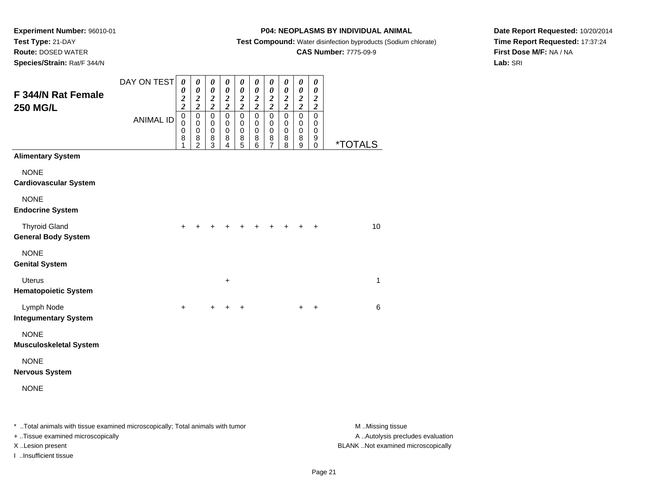# **Route:** DOSED WATER

**Species/Strain:** Rat/F 344/N

### **P04: NEOPLASMS BY INDIVIDUAL ANIMAL**

**Test Compound:** Water disinfection byproducts (Sodium chlorate)

# **CAS Number:** 7775-09-9

**Date Report Requested:** 10/20/2014**Time Report Requested:** 17:37:24**First Dose M/F:** NA / NA**Lab:** SRI

|                                                    | DAY ON TEST      | $\boldsymbol{\theta}$<br>0                          | $\boldsymbol{\theta}$<br>$\boldsymbol{\theta}$ | $\boldsymbol{\theta}$<br>$\boldsymbol{\theta}$       | $\pmb{\theta}$<br>$\boldsymbol{\theta}$             | $\boldsymbol{\theta}$<br>$\boldsymbol{\theta}$ | 0<br>0                                          | $\boldsymbol{\theta}$<br>0                               | 0<br>$\boldsymbol{\theta}$      | $\boldsymbol{\theta}$<br>$\boldsymbol{\theta}$           | $\boldsymbol{\theta}$<br>0                          |                       |
|----------------------------------------------------|------------------|-----------------------------------------------------|------------------------------------------------|------------------------------------------------------|-----------------------------------------------------|------------------------------------------------|-------------------------------------------------|----------------------------------------------------------|---------------------------------|----------------------------------------------------------|-----------------------------------------------------|-----------------------|
| F 344/N Rat Female<br><b>250 MG/L</b>              |                  | $\boldsymbol{2}$<br>$\overline{\mathbf{c}}$         | $\frac{2}{2}$                                  | $\frac{2}{2}$                                        | $\frac{2}{2}$                                       | $\frac{2}{2}$                                  | $\frac{2}{2}$                                   | $\frac{2}{2}$                                            | $\frac{2}{2}$                   | $\frac{2}{2}$                                            | $\boldsymbol{2}$<br>$\boldsymbol{2}$                |                       |
|                                                    | <b>ANIMAL ID</b> | $\mathbf 0$<br>$\mathbf 0$<br>$\mathbf 0$<br>8<br>1 | 0<br>0<br>$\mathbf 0$<br>8<br>$\overline{2}$   | $\pmb{0}$<br>$\pmb{0}$<br>$\mathbf 0$<br>$\bf8$<br>3 | $\mathbf 0$<br>$\mathbf 0$<br>$\mathbf 0$<br>8<br>4 | $\mathbf 0$<br>0<br>$\mathbf 0$<br>8<br>5      | $\mathbf 0$<br>0<br>$\mathbf 0$<br>$\bf 8$<br>6 | $\mathbf 0$<br>$\mathbf 0$<br>$\mathbf 0$<br>$\bf8$<br>7 | 0<br>$\mathbf 0$<br>0<br>8<br>8 | $\mathbf 0$<br>$\mathbf 0$<br>$\mathbf 0$<br>$\bf8$<br>9 | $\mathbf 0$<br>0<br>$\mathbf 0$<br>9<br>$\mathbf 0$ | <i><b>*TOTALS</b></i> |
| <b>Alimentary System</b>                           |                  |                                                     |                                                |                                                      |                                                     |                                                |                                                 |                                                          |                                 |                                                          |                                                     |                       |
| <b>NONE</b><br><b>Cardiovascular System</b>        |                  |                                                     |                                                |                                                      |                                                     |                                                |                                                 |                                                          |                                 |                                                          |                                                     |                       |
| <b>NONE</b><br><b>Endocrine System</b>             |                  |                                                     |                                                |                                                      |                                                     |                                                |                                                 |                                                          |                                 |                                                          |                                                     |                       |
| <b>Thyroid Gland</b><br><b>General Body System</b> |                  | ÷                                                   |                                                |                                                      |                                                     |                                                |                                                 |                                                          |                                 |                                                          | +                                                   | 10                    |
| <b>NONE</b><br><b>Genital System</b>               |                  |                                                     |                                                |                                                      |                                                     |                                                |                                                 |                                                          |                                 |                                                          |                                                     |                       |
| <b>Uterus</b><br><b>Hematopoietic System</b>       |                  |                                                     |                                                |                                                      | $\ddot{}$                                           |                                                |                                                 |                                                          |                                 |                                                          |                                                     | 1                     |
| Lymph Node<br><b>Integumentary System</b>          |                  | $\ddot{}$                                           |                                                | $+$                                                  | $\ddot{}$                                           | $\ddot{}$                                      |                                                 |                                                          |                                 | $+$                                                      | $\ddot{}$                                           | 6                     |
| <b>NONE</b><br><b>Musculoskeletal System</b>       |                  |                                                     |                                                |                                                      |                                                     |                                                |                                                 |                                                          |                                 |                                                          |                                                     |                       |
| <b>NONE</b><br><b>Nervous System</b>               |                  |                                                     |                                                |                                                      |                                                     |                                                |                                                 |                                                          |                                 |                                                          |                                                     |                       |
| <b>NONE</b>                                        |                  |                                                     |                                                |                                                      |                                                     |                                                |                                                 |                                                          |                                 |                                                          |                                                     |                       |
|                                                    |                  |                                                     |                                                |                                                      |                                                     |                                                |                                                 |                                                          |                                 |                                                          |                                                     |                       |

\* ..Total animals with tissue examined microscopically; Total animals with tumor **M** . Missing tissue M ..Missing tissue A ..Autolysis precludes evaluation + ..Tissue examined microscopically X ..Lesion present BLANK ..Not examined microscopicallyI ..Insufficient tissue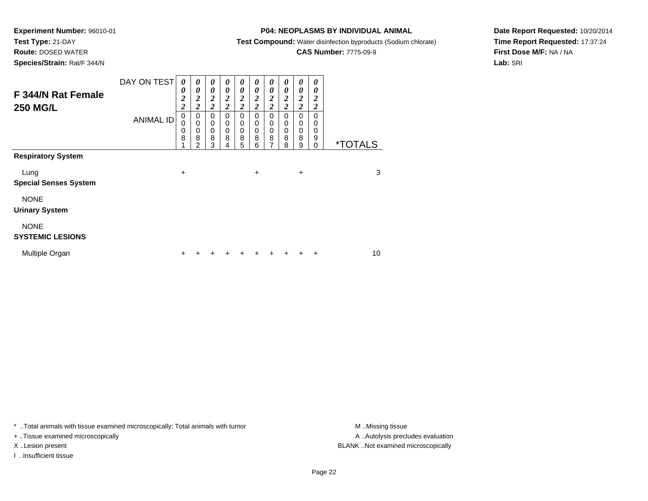# **Test Type:** 21-DAY

**Route:** DOSED WATER

**Species/Strain:** Rat/F 344/N

### **P04: NEOPLASMS BY INDIVIDUAL ANIMAL**

**Test Compound:** Water disinfection byproducts (Sodium chlorate)

# **CAS Number:** 7775-09-9

**Date Report Requested:** 10/20/2014**Time Report Requested:** 17:37:24**First Dose M/F:** NA / NA**Lab:** SRI

| F 344/N Rat Female<br><b>250 MG/L</b>  | DAY ON TEST      | 0<br>0<br>$\overline{\mathbf{c}}$<br>$\overline{c}$ | 0<br>0<br>$\boldsymbol{2}$<br>$\overline{c}$ | 0<br>$\boldsymbol{\theta}$<br>$\boldsymbol{2}$<br>$\overline{2}$ | 0<br>0<br>$\overline{2}$<br>$\overline{c}$ | 0<br>$\boldsymbol{\theta}$<br>$\boldsymbol{2}$<br>$\overline{2}$ | 0<br>0<br>$\overline{2}$<br>$\overline{2}$ | 0<br>$\boldsymbol{\theta}$<br>2<br>$\overline{2}$ | 0<br>0<br>2<br>$\overline{\mathbf{c}}$ | 0<br>0<br>$\boldsymbol{2}$<br>$\overline{\mathbf{c}}$ | 0<br>0<br>2<br>$\overline{\mathbf{c}}$ |                       |
|----------------------------------------|------------------|-----------------------------------------------------|----------------------------------------------|------------------------------------------------------------------|--------------------------------------------|------------------------------------------------------------------|--------------------------------------------|---------------------------------------------------|----------------------------------------|-------------------------------------------------------|----------------------------------------|-----------------------|
| <b>Respiratory System</b>              | <b>ANIMAL ID</b> | 0<br>0<br>0<br>8                                    | 0<br>$\mathbf 0$<br>0<br>8<br>2              | 0<br>$\mathbf 0$<br>$\mathbf 0$<br>8<br>3                        | 0<br>0<br>0<br>8<br>4                      | $\mathbf 0$<br>$\mathbf 0$<br>$\mathbf 0$<br>8<br>5              | $\Omega$<br>0<br>$\mathbf 0$<br>8<br>6     | 0<br>$\pmb{0}$<br>$\mathbf 0$<br>8<br>7           | 0<br>0<br>0<br>8<br>8                  | $\mathbf 0$<br>0<br>$\mathbf 0$<br>8<br>9             | 0<br>0<br>0<br>9<br>0                  | <i><b>*TOTALS</b></i> |
|                                        |                  |                                                     |                                              |                                                                  |                                            |                                                                  |                                            |                                                   |                                        |                                                       |                                        |                       |
| Lung<br><b>Special Senses System</b>   |                  | $\ddot{}$                                           |                                              |                                                                  |                                            |                                                                  | +                                          |                                                   |                                        | $\ddot{}$                                             |                                        | 3                     |
| <b>NONE</b><br><b>Urinary System</b>   |                  |                                                     |                                              |                                                                  |                                            |                                                                  |                                            |                                                   |                                        |                                                       |                                        |                       |
| <b>NONE</b><br><b>SYSTEMIC LESIONS</b> |                  |                                                     |                                              |                                                                  |                                            |                                                                  |                                            |                                                   |                                        |                                                       |                                        |                       |
| Multiple Organ                         |                  | ÷                                                   |                                              |                                                                  |                                            |                                                                  |                                            |                                                   |                                        |                                                       | $\ddot{}$                              | 10                    |

\* ..Total animals with tissue examined microscopically; Total animals with tumor **M** . Missing tissue M ..Missing tissue

+ ..Tissue examined microscopically

I ..Insufficient tissue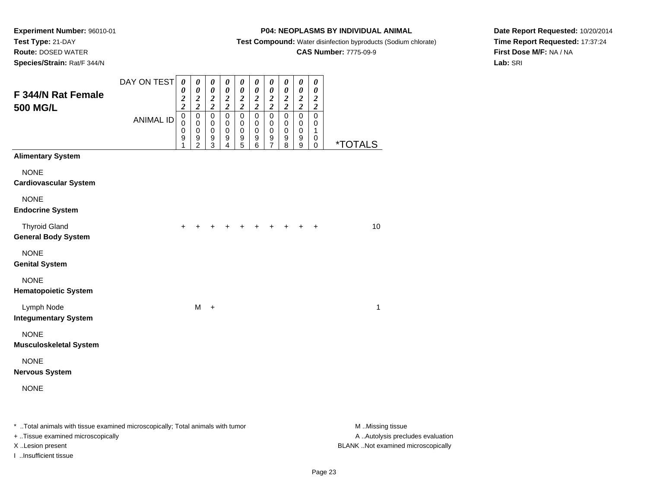# **Route:** DOSED WATER

**Species/Strain:** Rat/F 344/N

### **P04: NEOPLASMS BY INDIVIDUAL ANIMAL**

**Test Compound:** Water disinfection byproducts (Sodium chlorate)

# **CAS Number:** 7775-09-9

**Date Report Requested:** 10/20/2014**Time Report Requested:** 17:37:24**First Dose M/F:** NA / NA**Lab:** SRI

|                                                                                | DAY ON TEST      | $\boldsymbol{\theta}$           | $\pmb{\theta}$                         | 0                                      | $\boldsymbol{\theta}$                  | $\boldsymbol{\theta}$           | 0                                      | 0                               | 0                                      | $\boldsymbol{\theta}$           | $\boldsymbol{\theta}$                  |                       |
|--------------------------------------------------------------------------------|------------------|---------------------------------|----------------------------------------|----------------------------------------|----------------------------------------|---------------------------------|----------------------------------------|---------------------------------|----------------------------------------|---------------------------------|----------------------------------------|-----------------------|
| F 344/N Rat Female                                                             |                  | $\pmb{\theta}$<br>$\frac{2}{2}$ | $\boldsymbol{\theta}$<br>$\frac{2}{2}$ | $\boldsymbol{\theta}$<br>$\frac{2}{2}$ | $\boldsymbol{\theta}$<br>$\frac{2}{2}$ | $\pmb{\theta}$<br>$\frac{2}{2}$ | $\boldsymbol{\theta}$<br>$\frac{2}{2}$ | $\pmb{\theta}$<br>$\frac{2}{2}$ | $\boldsymbol{\theta}$<br>$\frac{2}{2}$ | $\pmb{\theta}$<br>$\frac{2}{2}$ | $\boldsymbol{\theta}$<br>$\frac{2}{2}$ |                       |
| <b>500 MG/L</b>                                                                |                  | $\pmb{0}$                       | $\pmb{0}$                              | $\mathbf 0$                            | $\pmb{0}$                              | $\pmb{0}$                       | $\pmb{0}$                              | $\mathbf 0$                     | $\mathbf 0$                            | $\mathbf 0$                     | $\mathbf 0$                            |                       |
|                                                                                | <b>ANIMAL ID</b> | $\mathbf 0$<br>0                | $\pmb{0}$<br>0                         | $\pmb{0}$<br>$\pmb{0}$                 | 0<br>$\mathbf 0$                       | 0<br>$\pmb{0}$                  | 0<br>0                                 | $\mathbf 0$<br>$\mathbf 0$      | 0<br>$\pmb{0}$                         | 0<br>$\pmb{0}$                  | 0<br>1                                 |                       |
|                                                                                |                  | 9<br>1                          | $\boldsymbol{9}$<br>$\overline{2}$     | 9<br>$\overline{3}$                    | 9<br>4                                 | 9<br>5                          | $\begin{matrix}9\\6\end{matrix}$       | $\frac{9}{7}$                   | $\boldsymbol{9}$<br>$\overline{8}$     | $^9_9$                          | 0<br>$\mathbf 0$                       | <i><b>*TOTALS</b></i> |
| <b>Alimentary System</b>                                                       |                  |                                 |                                        |                                        |                                        |                                 |                                        |                                 |                                        |                                 |                                        |                       |
| <b>NONE</b><br><b>Cardiovascular System</b>                                    |                  |                                 |                                        |                                        |                                        |                                 |                                        |                                 |                                        |                                 |                                        |                       |
| <b>NONE</b><br><b>Endocrine System</b>                                         |                  |                                 |                                        |                                        |                                        |                                 |                                        |                                 |                                        |                                 |                                        |                       |
| <b>Thyroid Gland</b><br><b>General Body System</b>                             |                  | +                               |                                        |                                        |                                        |                                 |                                        |                                 |                                        |                                 | +                                      | 10                    |
| <b>NONE</b><br><b>Genital System</b>                                           |                  |                                 |                                        |                                        |                                        |                                 |                                        |                                 |                                        |                                 |                                        |                       |
| <b>NONE</b><br><b>Hematopoietic System</b>                                     |                  |                                 |                                        |                                        |                                        |                                 |                                        |                                 |                                        |                                 |                                        |                       |
| Lymph Node<br><b>Integumentary System</b>                                      |                  |                                 | M                                      | $+$                                    |                                        |                                 |                                        |                                 |                                        |                                 |                                        | 1                     |
| <b>NONE</b><br><b>Musculoskeletal System</b>                                   |                  |                                 |                                        |                                        |                                        |                                 |                                        |                                 |                                        |                                 |                                        |                       |
| <b>NONE</b><br><b>Nervous System</b>                                           |                  |                                 |                                        |                                        |                                        |                                 |                                        |                                 |                                        |                                 |                                        |                       |
| <b>NONE</b>                                                                    |                  |                                 |                                        |                                        |                                        |                                 |                                        |                                 |                                        |                                 |                                        |                       |
| * Total animals with tissue examined microscopically; Total animals with tumor |                  |                                 |                                        |                                        |                                        |                                 |                                        |                                 |                                        |                                 |                                        | M Missing tissue      |

+ ..Tissue examined microscopically

I ..Insufficient tissue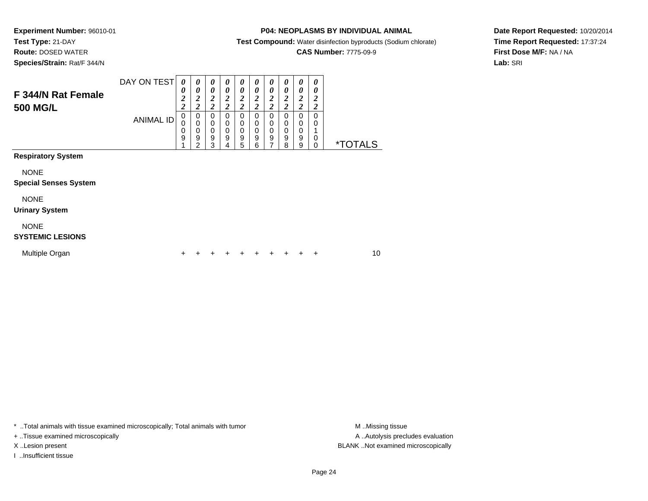### **Test Type:** 21-DAY**Route:** DOSED WATER

**Species/Strain:** Rat/F 344/N

### **P04: NEOPLASMS BY INDIVIDUAL ANIMAL**

**Test Compound:** Water disinfection byproducts (Sodium chlorate)

# **CAS Number:** 7775-09-9

**Date Report Requested:** 10/20/2014**Time Report Requested:** 17:37:24**First Dose M/F:** NA / NA**Lab:** SRI

| F 344/N Rat Female<br><b>500 MG/L</b>                                                                          | DAY ON TEST<br><b>ANIMAL ID</b> | 0<br>0<br>$\frac{2}{2}$<br>0<br>0<br>0<br>9 | 0<br>0<br>$\overline{\mathbf{c}}$<br>$\overline{\mathbf{c}}$<br>0<br>0<br>0<br>9<br>2 | 0<br>0<br>$\boldsymbol{2}$<br>$\overline{c}$<br>0<br>0<br>0<br>9<br>3 | 0<br>0<br>$\boldsymbol{2}$<br>$\overline{c}$<br>$\Omega$<br>$\mathbf 0$<br>0<br>9<br>4 | 0<br>0<br>$\boldsymbol{2}$<br>$\overline{2}$<br>$\Omega$<br>0<br>0<br>9<br>5 | 0<br>$\boldsymbol{\theta}$<br>$\boldsymbol{2}$<br>$\overline{2}$<br>$\Omega$<br>0<br>$\mathbf 0$<br>9<br>6 | 0<br>0<br>$\boldsymbol{2}$<br>$\overline{2}$<br>0<br>0<br>0<br>9 | 0<br>0<br>$\boldsymbol{2}$<br>$\boldsymbol{2}$<br>0<br>0<br>0<br>9<br>8 | 0<br>0<br>2<br>$\overline{\mathbf{c}}$<br>0<br>0<br>0<br>9<br>9 | 0<br>0<br>$\boldsymbol{2}$<br>$\overline{2}$<br>0<br>0<br>1<br>0<br>0 | <i><b>*TOTALS</b></i> |
|----------------------------------------------------------------------------------------------------------------|---------------------------------|---------------------------------------------|---------------------------------------------------------------------------------------|-----------------------------------------------------------------------|----------------------------------------------------------------------------------------|------------------------------------------------------------------------------|------------------------------------------------------------------------------------------------------------|------------------------------------------------------------------|-------------------------------------------------------------------------|-----------------------------------------------------------------|-----------------------------------------------------------------------|-----------------------|
| <b>Respiratory System</b><br><b>NONE</b>                                                                       |                                 |                                             |                                                                                       |                                                                       |                                                                                        |                                                                              |                                                                                                            |                                                                  |                                                                         |                                                                 |                                                                       |                       |
| <b>Special Senses System</b><br><b>NONE</b><br><b>Urinary System</b><br><b>NONE</b><br><b>SYSTEMIC LESIONS</b> |                                 |                                             |                                                                                       |                                                                       |                                                                                        |                                                                              |                                                                                                            |                                                                  |                                                                         |                                                                 |                                                                       |                       |

| Multiple Organ |  | + + + + + + + + + |  |  |  |  |  |  |  |  |  | 10 |
|----------------|--|-------------------|--|--|--|--|--|--|--|--|--|----|
|----------------|--|-------------------|--|--|--|--|--|--|--|--|--|----|

\* ..Total animals with tissue examined microscopically; Total animals with tumor **M** . Missing tissue M ..Missing tissue

+ ..Tissue examined microscopically

I ..Insufficient tissue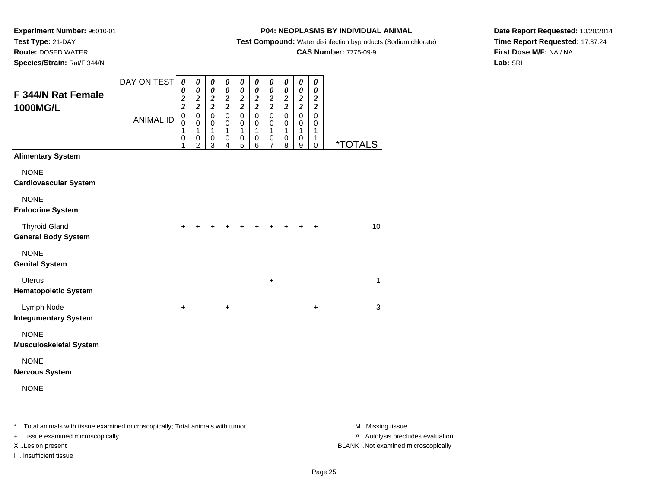**Route:** DOSED WATER

**Species/Strain:** Rat/F 344/N

### **P04: NEOPLASMS BY INDIVIDUAL ANIMAL**

**Test Compound:** Water disinfection byproducts (Sodium chlorate)

### **CAS Number:** 7775-09-9

**Date Report Requested:** 10/20/2014**Time Report Requested:** 17:37:24**First Dose M/F:** NA / NA**Lab:** SRI

| op <del>o</del> or <del>os</del> /otrain.navi-o++/n |                  |                                                                     |                                                                                    |                                                                                  |                                                                                    |                                                                                    |                                                                          |                                                                                               |                                                                        |                                                                                 |                                                                                  |              |
|-----------------------------------------------------|------------------|---------------------------------------------------------------------|------------------------------------------------------------------------------------|----------------------------------------------------------------------------------|------------------------------------------------------------------------------------|------------------------------------------------------------------------------------|--------------------------------------------------------------------------|-----------------------------------------------------------------------------------------------|------------------------------------------------------------------------|---------------------------------------------------------------------------------|----------------------------------------------------------------------------------|--------------|
| F 344/N Rat Female                                  | DAY ON TEST      | $\boldsymbol{\theta}$<br>$\pmb{\theta}$                             | $\pmb{\theta}$<br>$\pmb{\theta}$                                                   | $\boldsymbol{\theta}$<br>$\boldsymbol{\theta}$                                   | $\boldsymbol{\theta}$<br>$\boldsymbol{\theta}$                                     | $\boldsymbol{\theta}$<br>$\boldsymbol{\theta}$                                     | $\boldsymbol{\theta}$<br>$\boldsymbol{\theta}$                           | $\pmb{\theta}$<br>$\boldsymbol{\theta}$                                                       | $\pmb{\theta}$<br>$\pmb{\theta}$                                       | $\boldsymbol{\theta}$<br>$\boldsymbol{\theta}$                                  | $\boldsymbol{\theta}$<br>$\boldsymbol{\theta}$<br>$\boldsymbol{2}$               |              |
| 1000MG/L                                            | <b>ANIMAL ID</b> | $\frac{2}{2}$<br>$\overline{0}$<br>$\bar{0}$<br>1<br>$\pmb{0}$<br>1 | $\frac{2}{2}$<br>$\mathsf 0$<br>$\mathbf 0$<br>$\mathbf{1}$<br>0<br>$\overline{2}$ | $\frac{2}{2}$<br>$\overline{0}$<br>$\mathbf 0$<br>$\mathbf{1}$<br>$\pmb{0}$<br>3 | $\frac{2}{2}$<br>$\overline{0}$<br>$\mathbf 0$<br>$\mathbf{1}$<br>$\mathbf 0$<br>4 | $\frac{2}{2}$<br>$\overline{0}$<br>$\mathbf 0$<br>$\overline{1}$<br>$\pmb{0}$<br>5 | $\frac{2}{2}$<br>$\overline{0}$<br>0<br>$\mathbf{1}$<br>$\mathbf 0$<br>6 | $\frac{2}{2}$<br>$\overline{0}$<br>$\mathbf 0$<br>$\mathbf{1}$<br>$\pmb{0}$<br>$\overline{7}$ | $\frac{2}{2}$<br>$\overline{0}$<br>0<br>$\mathbf{1}$<br>$\pmb{0}$<br>8 | $\frac{2}{2}$<br>$\mathbf 0$<br>$\mathbf 0$<br>$\mathbf{1}$<br>$\mathbf 0$<br>9 | $\boldsymbol{2}$<br>$\mathbf 0$<br>$\mathbf 0$<br>1<br>$\mathbf{1}$<br>$\pmb{0}$ | *TOTALS      |
| <b>Alimentary System</b>                            |                  |                                                                     |                                                                                    |                                                                                  |                                                                                    |                                                                                    |                                                                          |                                                                                               |                                                                        |                                                                                 |                                                                                  |              |
| <b>NONE</b><br><b>Cardiovascular System</b>         |                  |                                                                     |                                                                                    |                                                                                  |                                                                                    |                                                                                    |                                                                          |                                                                                               |                                                                        |                                                                                 |                                                                                  |              |
| <b>NONE</b><br><b>Endocrine System</b>              |                  |                                                                     |                                                                                    |                                                                                  |                                                                                    |                                                                                    |                                                                          |                                                                                               |                                                                        |                                                                                 |                                                                                  |              |
| <b>Thyroid Gland</b><br><b>General Body System</b>  |                  | $\ddot{}$                                                           |                                                                                    |                                                                                  |                                                                                    |                                                                                    |                                                                          |                                                                                               | ÷                                                                      |                                                                                 | +                                                                                | 10           |
| <b>NONE</b><br><b>Genital System</b>                |                  |                                                                     |                                                                                    |                                                                                  |                                                                                    |                                                                                    |                                                                          |                                                                                               |                                                                        |                                                                                 |                                                                                  |              |
| <b>Uterus</b><br><b>Hematopoietic System</b>        |                  |                                                                     |                                                                                    |                                                                                  |                                                                                    |                                                                                    |                                                                          | $\ddot{}$                                                                                     |                                                                        |                                                                                 |                                                                                  | $\mathbf{1}$ |
| Lymph Node<br><b>Integumentary System</b>           |                  | $\ddot{}$                                                           |                                                                                    |                                                                                  | $\ddot{}$                                                                          |                                                                                    |                                                                          |                                                                                               |                                                                        |                                                                                 | +                                                                                | 3            |
| <b>NONE</b><br><b>Musculoskeletal System</b>        |                  |                                                                     |                                                                                    |                                                                                  |                                                                                    |                                                                                    |                                                                          |                                                                                               |                                                                        |                                                                                 |                                                                                  |              |
| <b>NONE</b><br><b>Nervous System</b>                |                  |                                                                     |                                                                                    |                                                                                  |                                                                                    |                                                                                    |                                                                          |                                                                                               |                                                                        |                                                                                 |                                                                                  |              |
| <b>NONE</b>                                         |                  |                                                                     |                                                                                    |                                                                                  |                                                                                    |                                                                                    |                                                                          |                                                                                               |                                                                        |                                                                                 |                                                                                  |              |

\* ..Total animals with tissue examined microscopically; Total animals with tumor **M** . Missing tissue M ..Missing tissue A ..Autolysis precludes evaluation + ..Tissue examined microscopically X ..Lesion present BLANK ..Not examined microscopicallyI ..Insufficient tissue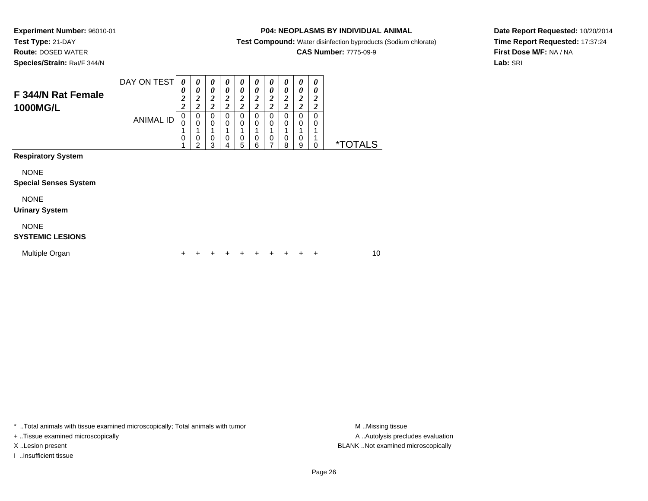# **Route:** DOSED WATER

**Species/Strain:** Rat/F 344/N

### **P04: NEOPLASMS BY INDIVIDUAL ANIMAL**

**Test Compound:** Water disinfection byproducts (Sodium chlorate)

# **CAS Number:** 7775-09-9

**Date Report Requested:** 10/20/2014**Time Report Requested:** 17:37:24**First Dose M/F:** NA / NA**Lab:** SRI

| F 344/N Rat Female<br>1000MG/L              | DAY ON TEST      | 0<br>0<br>2<br>2 | 0<br>0<br>$\boldsymbol{2}$<br>2 | 0<br>0<br>2<br>2 | 0<br>0<br>$\boldsymbol{2}$<br>$\overline{2}$ | 0<br>0<br>2<br>2 | 0<br>0<br>2<br>$\overline{\mathbf{c}}$ | 0<br>0<br>2<br>2 | $\boldsymbol{\theta}$<br>0<br>$\boldsymbol{2}$<br>$\overline{\mathbf{c}}$ | 0<br>0<br>$\boldsymbol{2}$<br>$\overline{c}$ | 0<br>0<br>$\frac{2}{2}$ |                       |
|---------------------------------------------|------------------|------------------|---------------------------------|------------------|----------------------------------------------|------------------|----------------------------------------|------------------|---------------------------------------------------------------------------|----------------------------------------------|-------------------------|-----------------------|
|                                             | <b>ANIMAL ID</b> | 0<br>0           | 0<br>$\Omega$<br>0<br>2         | 0<br>0<br>0<br>3 | 0<br>0<br>0<br>4                             | 0<br>0<br>0<br>5 | 0<br>0<br>0<br>6                       | 0<br>0<br>0<br>7 | $\mathbf 0$<br>0<br>0<br>8                                                | 0<br>0<br>0<br>9                             | 0<br>0<br>$\Omega$      | <i><b>*TOTALS</b></i> |
| <b>Respiratory System</b>                   |                  |                  |                                 |                  |                                              |                  |                                        |                  |                                                                           |                                              |                         |                       |
| <b>NONE</b><br><b>Special Senses System</b> |                  |                  |                                 |                  |                                              |                  |                                        |                  |                                                                           |                                              |                         |                       |
| <b>NONE</b><br><b>Urinary System</b>        |                  |                  |                                 |                  |                                              |                  |                                        |                  |                                                                           |                                              |                         |                       |
| <b>NONE</b><br><b>SYSTEMIC LESIONS</b>      |                  |                  |                                 |                  |                                              |                  |                                        |                  |                                                                           |                                              |                         |                       |

| Multiple Organ |  |  | + + + + + + + + + |  |  |  |  |  |  |  |  | 10 |
|----------------|--|--|-------------------|--|--|--|--|--|--|--|--|----|
|----------------|--|--|-------------------|--|--|--|--|--|--|--|--|----|

\* ..Total animals with tissue examined microscopically; Total animals with tumor **M** . Missing tissue M ..Missing tissue

+ ..Tissue examined microscopically

I ..Insufficient tissue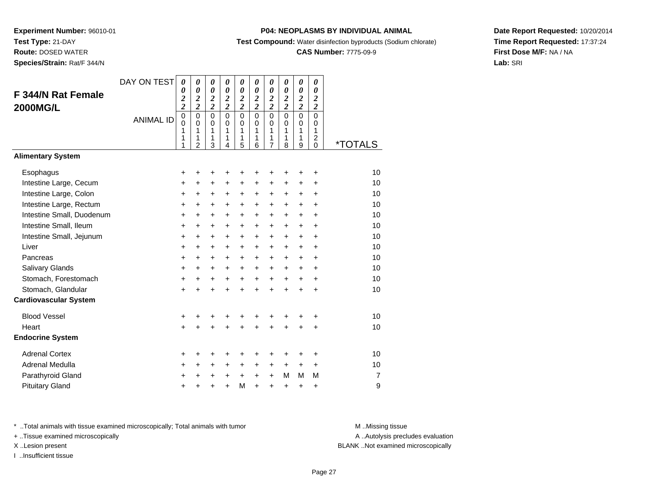**Route:** DOSED WATER

**Species/Strain:** Rat/F 344/N

### **P04: NEOPLASMS BY INDIVIDUAL ANIMAL**

**Test Compound:** Water disinfection byproducts (Sodium chlorate)

### **CAS Number:** 7775-09-9

**Date Report Requested:** 10/20/2014**Time Report Requested:** 17:37:24**First Dose M/F:** NA / NA**Lab:** SRI

| F 344/N Rat Female<br><b>2000MG/L</b> | DAY ON TEST<br><b>ANIMAL ID</b> | $\boldsymbol{\theta}$<br>0<br>$\overline{\mathbf{c}}$<br>$\overline{c}$<br>$\overline{0}$<br>$\mathbf 0$<br>1<br>1<br>1 | $\boldsymbol{\theta}$<br>$\boldsymbol{\theta}$<br>$\boldsymbol{2}$<br>$\overline{2}$<br>$\mathbf 0$<br>$\mathbf 0$<br>1<br>1<br>$\overline{2}$ | $\pmb{\theta}$<br>$\boldsymbol{\theta}$<br>$\boldsymbol{2}$<br>$\overline{\mathbf{c}}$<br>$\mathbf 0$<br>0<br>$\mathbf{1}$<br>1<br>3 | $\boldsymbol{\theta}$<br>$\boldsymbol{\theta}$<br>$\boldsymbol{2}$<br>$\overline{2}$<br>$\mathbf 0$<br>$\mathbf 0$<br>$\mathbf{1}$<br>1<br>$\overline{4}$ | 0<br>$\boldsymbol{\theta}$<br>$\boldsymbol{2}$<br>$\overline{2}$<br>$\mathbf 0$<br>0<br>1<br>1<br>5 | 0<br>$\boldsymbol{\theta}$<br>$\boldsymbol{2}$<br>$\overline{2}$<br>$\mathbf 0$<br>$\Omega$<br>1<br>1<br>6 | 0<br>$\boldsymbol{\theta}$<br>$\boldsymbol{2}$<br>$\overline{2}$<br>$\overline{0}$<br>$\mathbf 0$<br>1<br>1<br>7 | 0<br>$\boldsymbol{\theta}$<br>$\boldsymbol{2}$<br>$\overline{2}$<br>$\overline{0}$<br>$\Omega$<br>$\mathbf{1}$<br>1<br>8 | 0<br>$\boldsymbol{\theta}$<br>$\boldsymbol{2}$<br>$\overline{2}$<br>$\overline{0}$<br>$\mathbf 0$<br>1<br>1<br>9 | 0<br>$\boldsymbol{\theta}$<br>$\boldsymbol{2}$<br>$\overline{c}$<br>$\mathbf 0$<br>$\Omega$<br>1<br>$\overline{c}$<br>0 | <i><b>*TOTALS</b></i> |
|---------------------------------------|---------------------------------|-------------------------------------------------------------------------------------------------------------------------|------------------------------------------------------------------------------------------------------------------------------------------------|--------------------------------------------------------------------------------------------------------------------------------------|-----------------------------------------------------------------------------------------------------------------------------------------------------------|-----------------------------------------------------------------------------------------------------|------------------------------------------------------------------------------------------------------------|------------------------------------------------------------------------------------------------------------------|--------------------------------------------------------------------------------------------------------------------------|------------------------------------------------------------------------------------------------------------------|-------------------------------------------------------------------------------------------------------------------------|-----------------------|
| <b>Alimentary System</b>              |                                 |                                                                                                                         |                                                                                                                                                |                                                                                                                                      |                                                                                                                                                           |                                                                                                     |                                                                                                            |                                                                                                                  |                                                                                                                          |                                                                                                                  |                                                                                                                         |                       |
| Esophagus                             |                                 | +                                                                                                                       | +                                                                                                                                              | +                                                                                                                                    | +                                                                                                                                                         | +                                                                                                   | +                                                                                                          | +                                                                                                                | ٠                                                                                                                        | +                                                                                                                | +                                                                                                                       | 10                    |
| Intestine Large, Cecum                |                                 | +                                                                                                                       | $\ddot{}$                                                                                                                                      | +                                                                                                                                    | $\ddot{}$                                                                                                                                                 | $\ddot{}$                                                                                           | $\ddot{}$                                                                                                  | $\ddot{}$                                                                                                        | +                                                                                                                        | $\ddot{}$                                                                                                        | $\ddot{}$                                                                                                               | 10                    |
| Intestine Large, Colon                |                                 | +                                                                                                                       | +                                                                                                                                              | $\ddot{}$                                                                                                                            | $\ddot{}$                                                                                                                                                 | $\ddot{}$                                                                                           | +                                                                                                          | +                                                                                                                | $\ddot{}$                                                                                                                | $\ddot{}$                                                                                                        | $\ddot{}$                                                                                                               | 10                    |
| Intestine Large, Rectum               |                                 | $\ddot{}$                                                                                                               | $\ddot{}$                                                                                                                                      | $\ddot{}$                                                                                                                            | $\ddot{}$                                                                                                                                                 | $\ddot{}$                                                                                           | $\ddot{}$                                                                                                  | $\ddot{}$                                                                                                        | $\ddot{}$                                                                                                                | $+$                                                                                                              | $\ddot{}$                                                                                                               | 10                    |
| Intestine Small, Duodenum             |                                 | $\ddot{}$                                                                                                               | +                                                                                                                                              | $\ddot{}$                                                                                                                            | +                                                                                                                                                         | +                                                                                                   | +                                                                                                          | +                                                                                                                | +                                                                                                                        | $\ddot{}$                                                                                                        | +                                                                                                                       | 10                    |
| Intestine Small, Ileum                |                                 | $\ddot{}$                                                                                                               | $\ddot{}$                                                                                                                                      | $\ddot{}$                                                                                                                            | $\ddot{}$                                                                                                                                                 | $\ddot{}$                                                                                           | $\ddot{}$                                                                                                  | $\ddot{}$                                                                                                        | $\ddot{}$                                                                                                                | $\ddot{}$                                                                                                        | $\ddot{}$                                                                                                               | 10                    |
| Intestine Small, Jejunum              |                                 | $\ddot{}$                                                                                                               | $\ddot{}$                                                                                                                                      | $\ddot{}$                                                                                                                            | $\ddot{}$                                                                                                                                                 | $\ddot{}$                                                                                           | $\ddot{}$                                                                                                  | $\ddot{}$                                                                                                        | $\ddot{}$                                                                                                                | $\ddot{}$                                                                                                        | $\ddot{}$                                                                                                               | 10                    |
| Liver                                 |                                 | $\ddot{}$                                                                                                               | $\ddot{}$                                                                                                                                      | $\ddot{}$                                                                                                                            | $\ddot{}$                                                                                                                                                 | $\ddot{}$                                                                                           | $\ddot{}$                                                                                                  | $\ddot{}$                                                                                                        | $+$                                                                                                                      | $+$                                                                                                              | $\ddot{}$                                                                                                               | 10                    |
| Pancreas                              |                                 | $\ddot{}$                                                                                                               | $\ddot{}$                                                                                                                                      | $+$                                                                                                                                  | $+$                                                                                                                                                       | $+$                                                                                                 | $\ddot{}$                                                                                                  | $+$                                                                                                              | $+$                                                                                                                      | $+$                                                                                                              | $\ddot{}$                                                                                                               | 10                    |
| <b>Salivary Glands</b>                |                                 | +                                                                                                                       | +                                                                                                                                              | +                                                                                                                                    | $\ddot{}$                                                                                                                                                 | $\ddot{}$                                                                                           | $\ddot{}$                                                                                                  | $\ddot{}$                                                                                                        | $\ddot{}$                                                                                                                | $\ddot{}$                                                                                                        | $\ddot{}$                                                                                                               | 10                    |
| Stomach, Forestomach                  |                                 | +                                                                                                                       | $\ddot{}$                                                                                                                                      | $\ddot{}$                                                                                                                            | $+$                                                                                                                                                       | $+$                                                                                                 | $+$                                                                                                        | $\ddot{}$                                                                                                        | $+$                                                                                                                      | $+$                                                                                                              | $+$                                                                                                                     | 10                    |
| Stomach, Glandular                    |                                 | $\ddot{}$                                                                                                               | +                                                                                                                                              | $\ddot{}$                                                                                                                            | $\ddot{}$                                                                                                                                                 | $\ddot{}$                                                                                           | $\ddot{}$                                                                                                  | $\ddot{}$                                                                                                        | $+$                                                                                                                      | $\ddot{}$                                                                                                        | +                                                                                                                       | 10                    |
| <b>Cardiovascular System</b>          |                                 |                                                                                                                         |                                                                                                                                                |                                                                                                                                      |                                                                                                                                                           |                                                                                                     |                                                                                                            |                                                                                                                  |                                                                                                                          |                                                                                                                  |                                                                                                                         |                       |
| <b>Blood Vessel</b>                   |                                 | +                                                                                                                       | +                                                                                                                                              |                                                                                                                                      |                                                                                                                                                           | +                                                                                                   | +                                                                                                          | +                                                                                                                |                                                                                                                          |                                                                                                                  | ٠                                                                                                                       | 10                    |
| Heart                                 |                                 | $\ddot{}$                                                                                                               | $\ddot{}$                                                                                                                                      | $\ddot{}$                                                                                                                            | $\ddot{}$                                                                                                                                                 | $\ddot{}$                                                                                           | $\ddot{}$                                                                                                  | $\ddot{}$                                                                                                        |                                                                                                                          | $\ddot{}$                                                                                                        | $\ddot{}$                                                                                                               | 10                    |
| <b>Endocrine System</b>               |                                 |                                                                                                                         |                                                                                                                                                |                                                                                                                                      |                                                                                                                                                           |                                                                                                     |                                                                                                            |                                                                                                                  |                                                                                                                          |                                                                                                                  |                                                                                                                         |                       |
| <b>Adrenal Cortex</b>                 |                                 | +                                                                                                                       | +                                                                                                                                              | +                                                                                                                                    | +                                                                                                                                                         | +                                                                                                   | +                                                                                                          | +                                                                                                                | ٠                                                                                                                        | ٠                                                                                                                | +                                                                                                                       | 10                    |
| Adrenal Medulla                       |                                 | $\ddot{}$                                                                                                               | $\ddot{}$                                                                                                                                      | $\ddot{}$                                                                                                                            | $\ddot{}$                                                                                                                                                 | $\ddot{}$                                                                                           | $\ddot{}$                                                                                                  | $\ddot{}$                                                                                                        | $\ddot{}$                                                                                                                | $\ddot{}$                                                                                                        | $\ddot{}$                                                                                                               | 10                    |
| Parathyroid Gland                     |                                 | +                                                                                                                       | +                                                                                                                                              | +                                                                                                                                    | +                                                                                                                                                         | $\ddot{}$                                                                                           | $\ddot{}$                                                                                                  | +                                                                                                                | м                                                                                                                        | M                                                                                                                | M                                                                                                                       | $\overline{7}$        |
| <b>Pituitary Gland</b>                |                                 | +                                                                                                                       |                                                                                                                                                |                                                                                                                                      | ÷                                                                                                                                                         | M                                                                                                   | $\ddot{}$                                                                                                  | $\ddot{}$                                                                                                        | +                                                                                                                        | +                                                                                                                | +                                                                                                                       | 9                     |

\* ..Total animals with tissue examined microscopically; Total animals with tumor **M** . Missing tissue M ..Missing tissue

+ ..Tissue examined microscopically

I ..Insufficient tissue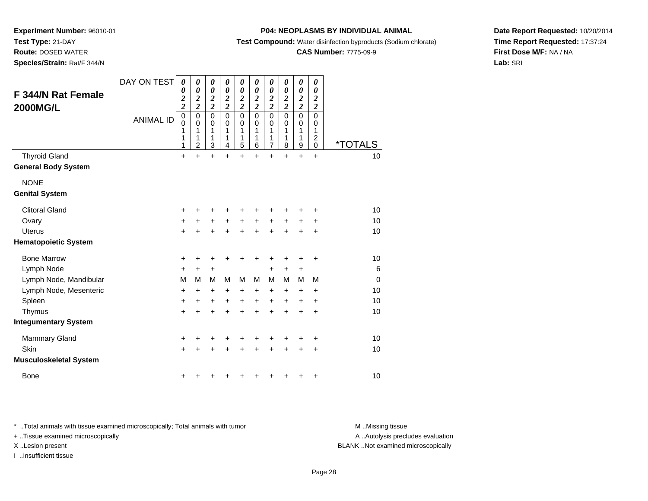**Route:** DOSED WATER

**Species/Strain:** Rat/F 344/N

### **P04: NEOPLASMS BY INDIVIDUAL ANIMAL**

**Test Compound:** Water disinfection byproducts (Sodium chlorate)

### **CAS Number:** 7775-09-9

**Date Report Requested:** 10/20/2014**Time Report Requested:** 17:37:24**First Dose M/F:** NA / NA**Lab:** SRI

| <b>F 344/N Rat Female</b><br><b>2000MG/L</b>       | DAY ON TEST<br><b>ANIMAL ID</b> | 0<br>0<br>$\boldsymbol{2}$<br>$\overline{\mathbf{c}}$<br>0<br>$\mathbf 0$<br>1<br>1<br>1 | 0<br>0<br>$\boldsymbol{2}$<br>$\overline{2}$<br>$\mathbf 0$<br>0<br>1<br>1<br>$\overline{c}$ | 0<br>$\boldsymbol{\theta}$<br>$\boldsymbol{2}$<br>$\overline{\mathbf{c}}$<br>$\mathbf 0$<br>$\mathbf 0$<br>1<br>1<br>$\mathbf{3}$ | 0<br>0<br>$\overline{\mathbf{c}}$<br>$\overline{2}$<br>$\mathbf 0$<br>0<br>1<br>1<br>4 | 0<br>0<br>$\boldsymbol{2}$<br>$\overline{\mathbf{c}}$<br>$\mathbf 0$<br>0<br>1<br>$\mathbf{1}$<br>5 | 0<br>0<br>2<br>$\overline{2}$<br>$\Omega$<br>$\Omega$<br>1<br>1<br>6 | 0<br>$\boldsymbol{\theta}$<br>$\boldsymbol{2}$<br>$\overline{\mathbf{c}}$<br>$\mathbf 0$<br>0<br>1<br>1<br>$\overline{7}$ | 0<br>0<br>$\boldsymbol{2}$<br>$\boldsymbol{2}$<br>$\Omega$<br>0<br>1<br>1<br>8 | $\boldsymbol{\theta}$<br>$\boldsymbol{\theta}$<br>$\boldsymbol{2}$<br>$\overline{\mathbf{c}}$<br>$\mathbf 0$<br>0<br>1<br>1<br>$\boldsymbol{9}$ | 0<br>0<br>2<br>$\overline{2}$<br>$\mathbf 0$<br>0<br>1<br>$\boldsymbol{2}$<br>$\pmb{0}$ | <i><b>*TOTALS</b></i> |
|----------------------------------------------------|---------------------------------|------------------------------------------------------------------------------------------|----------------------------------------------------------------------------------------------|-----------------------------------------------------------------------------------------------------------------------------------|----------------------------------------------------------------------------------------|-----------------------------------------------------------------------------------------------------|----------------------------------------------------------------------|---------------------------------------------------------------------------------------------------------------------------|--------------------------------------------------------------------------------|-------------------------------------------------------------------------------------------------------------------------------------------------|-----------------------------------------------------------------------------------------|-----------------------|
| <b>Thyroid Gland</b><br><b>General Body System</b> |                                 | $\ddot{}$                                                                                | $\ddot{}$                                                                                    | $+$                                                                                                                               | $\ddot{}$                                                                              | $\ddot{}$                                                                                           | $\ddot{}$                                                            | $\ddot{}$                                                                                                                 | $\ddot{}$                                                                      | $\ddot{}$                                                                                                                                       | $\ddot{}$                                                                               | 10                    |
| <b>NONE</b>                                        |                                 |                                                                                          |                                                                                              |                                                                                                                                   |                                                                                        |                                                                                                     |                                                                      |                                                                                                                           |                                                                                |                                                                                                                                                 |                                                                                         |                       |
| <b>Genital System</b>                              |                                 |                                                                                          |                                                                                              |                                                                                                                                   |                                                                                        |                                                                                                     |                                                                      |                                                                                                                           |                                                                                |                                                                                                                                                 |                                                                                         |                       |
| <b>Clitoral Gland</b>                              |                                 | +                                                                                        |                                                                                              |                                                                                                                                   |                                                                                        | +                                                                                                   | +                                                                    | +                                                                                                                         | +                                                                              | +                                                                                                                                               | +                                                                                       | 10                    |
| Ovary                                              |                                 | +                                                                                        | +                                                                                            | +                                                                                                                                 | +                                                                                      | +                                                                                                   | +                                                                    | +                                                                                                                         | +                                                                              | +                                                                                                                                               | +                                                                                       | 10                    |
| <b>Uterus</b>                                      |                                 | $\ddot{}$                                                                                |                                                                                              | +                                                                                                                                 | ÷                                                                                      | $\ddot{}$                                                                                           | $\ddot{}$                                                            | $\ddot{}$                                                                                                                 | ÷                                                                              | +                                                                                                                                               | +                                                                                       | 10                    |
| <b>Hematopoietic System</b>                        |                                 |                                                                                          |                                                                                              |                                                                                                                                   |                                                                                        |                                                                                                     |                                                                      |                                                                                                                           |                                                                                |                                                                                                                                                 |                                                                                         |                       |
| <b>Bone Marrow</b>                                 |                                 | +                                                                                        | +                                                                                            | +                                                                                                                                 | +                                                                                      | +                                                                                                   | +                                                                    | +                                                                                                                         | +                                                                              | +                                                                                                                                               | +                                                                                       | 10                    |
| Lymph Node                                         |                                 | +                                                                                        | $\ddot{}$                                                                                    | $\ddot{}$                                                                                                                         |                                                                                        |                                                                                                     |                                                                      | $\ddot{}$                                                                                                                 | $\ddot{}$                                                                      | +                                                                                                                                               |                                                                                         | 6                     |
| Lymph Node, Mandibular                             |                                 | M                                                                                        | М                                                                                            | M                                                                                                                                 | м                                                                                      | M                                                                                                   | м                                                                    | M                                                                                                                         | м                                                                              | M                                                                                                                                               | м                                                                                       | $\Omega$              |
| Lymph Node, Mesenteric                             |                                 | $\ddot{}$                                                                                | +                                                                                            | $\ddot{}$                                                                                                                         | +                                                                                      | $\ddot{}$                                                                                           | +                                                                    | $\ddot{}$                                                                                                                 | $\ddot{}$                                                                      | $\ddot{}$                                                                                                                                       | $\ddot{}$                                                                               | 10                    |
| Spleen                                             |                                 | $\ddot{}$                                                                                | $\ddot{}$                                                                                    | $\ddot{}$                                                                                                                         | $\ddot{}$                                                                              | $\ddot{}$                                                                                           | $\ddot{}$                                                            | $\ddot{}$                                                                                                                 | $\ddot{}$                                                                      | +                                                                                                                                               | $\ddot{}$                                                                               | 10                    |
| Thymus                                             |                                 | $\ddot{}$                                                                                | $\ddot{}$                                                                                    | $\ddot{}$                                                                                                                         | $\ddot{}$                                                                              | $\ddot{}$                                                                                           | $\ddot{}$                                                            | $\ddot{}$                                                                                                                 | $\ddot{}$                                                                      | $\ddot{}$                                                                                                                                       | $\ddot{}$                                                                               | 10                    |
| <b>Integumentary System</b>                        |                                 |                                                                                          |                                                                                              |                                                                                                                                   |                                                                                        |                                                                                                     |                                                                      |                                                                                                                           |                                                                                |                                                                                                                                                 |                                                                                         |                       |
| <b>Mammary Gland</b>                               |                                 | +                                                                                        |                                                                                              | +                                                                                                                                 | +                                                                                      | +                                                                                                   | +                                                                    | +                                                                                                                         |                                                                                | +                                                                                                                                               | +                                                                                       | 10                    |
| Skin                                               |                                 | $+$                                                                                      |                                                                                              | $\ddot{}$                                                                                                                         | +                                                                                      | $\ddot{}$                                                                                           | $\ddot{}$                                                            | +                                                                                                                         | $\ddot{}$                                                                      | $\pm$                                                                                                                                           | +                                                                                       | 10                    |
| <b>Musculoskeletal System</b>                      |                                 |                                                                                          |                                                                                              |                                                                                                                                   |                                                                                        |                                                                                                     |                                                                      |                                                                                                                           |                                                                                |                                                                                                                                                 |                                                                                         |                       |
| <b>Bone</b>                                        |                                 | +                                                                                        |                                                                                              |                                                                                                                                   |                                                                                        | ٠                                                                                                   | +                                                                    | +                                                                                                                         | +                                                                              | +                                                                                                                                               | $\ddot{}$                                                                               | 10                    |

\* ..Total animals with tissue examined microscopically; Total animals with tumor **M** . Missing tissue M ..Missing tissue

+ ..Tissue examined microscopically

I ..Insufficient tissue